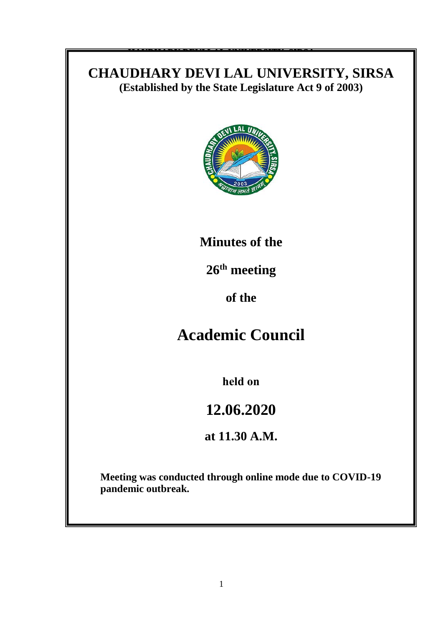### **CHAUDHARY DEVI LAL UNIVERSITY, SIRSA** (Established by the State Legislature Act 9 of 2003)

**HAUDHARY DEVI LAL UNIVERSITY, SIRSA**

To

**Sub: 9**

Sir/Madam,

DA/as above

make it convenient to attend the meeting.



## **Minutes of the**

 $26<sup>th</sup>$  meeting

of this University scheduled to be held on \_\_\_\_\_\_\_\_\_\_\_ **at \_\_\_\_\_\_\_\_\_\_ in the** 

**Seminar Hall, Tagore Bhawan, Chaudhary Devi Lal University, Sirsa.** Kindly **of the**

# **Academic Council**

**held on**

## **12.06.2020**

Endstein and the second second second second second second second second second second second second second second second second second second second second second second second second second second second second second se **at 11.30 A.M.** 

> **Meeting was conducted through online mode due to COVID-19 pandemic outbreak.**

Copy of the above is forwarded to the following for information and necessary actio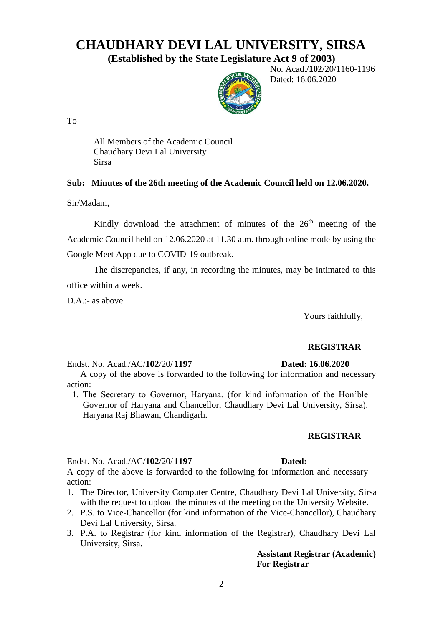### **CHAUDHARY DEVI LAL UNIVERSITY, SIRSA**

**(Established by the State Legislature Act 9 of 2003)**



 No. Acad./**102**/20/1160-1196 Dated: 16.06.2020

To

All Members of the Academic Council Chaudhary Devi Lal University Sirsa

#### **Sub: Minutes of the 26th meeting of the Academic Council held on 12.06.2020.**

Sir/Madam,

Kindly download the attachment of minutes of the 26<sup>th</sup> meeting of the Academic Council held on 12.06.2020 at 11.30 a.m. through online mode by using the Google Meet App due to COVID-19 outbreak.

The discrepancies, if any, in recording the minutes, may be intimated to this office within a week.

D.A.:- as above.

Yours faithfully,

#### **REGISTRAR**

Endst. No. Acad./AC/**102**/20/ **1197 Dated: 16.06.2020**

A copy of the above is forwarded to the following for information and necessary action:

1. The Secretary to Governor, Haryana. (for kind information of the Hon'ble Governor of Haryana and Chancellor, Chaudhary Devi Lal University, Sirsa), Haryana Raj Bhawan, Chandigarh.

#### **REGISTRAR**

Endst. No. Acad./AC/**102**/20/ **1197 Dated:** 

A copy of the above is forwarded to the following for information and necessary action:

- 1. The Director, University Computer Centre, Chaudhary Devi Lal University, Sirsa with the request to upload the minutes of the meeting on the University Website.
- 2. P.S. to Vice-Chancellor (for kind information of the Vice-Chancellor), Chaudhary Devi Lal University, Sirsa.
- 3. P.A. to Registrar (for kind information of the Registrar), Chaudhary Devi Lal University, Sirsa.

**Assistant Registrar (Academic) For Registrar**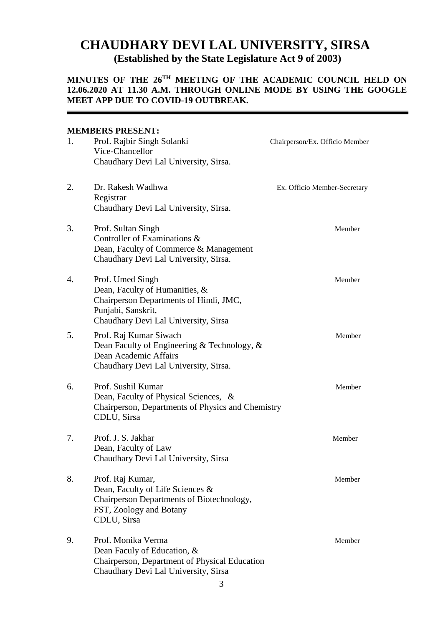### **CHAUDHARY DEVI LAL UNIVERSITY, SIRSA (Established by the State Legislature Act 9 of 2003)**

#### **MINUTES OF THE 26 TH MEETING OF THE ACADEMIC COUNCIL HELD ON 12.06.2020 AT 11.30 A.M. THROUGH ONLINE MODE BY USING THE GOOGLE MEET APP DUE TO COVID-19 OUTBREAK.**

#### **MEMBERS PRESENT:**

| 1. | Prof. Rajbir Singh Solanki<br>Vice-Chancellor<br>Chaudhary Devi Lal University, Sirsa.                                                                     | Chairperson/Ex. Officio Member |
|----|------------------------------------------------------------------------------------------------------------------------------------------------------------|--------------------------------|
| 2. | Dr. Rakesh Wadhwa<br>Registrar<br>Chaudhary Devi Lal University, Sirsa.                                                                                    | Ex. Officio Member-Secretary   |
| 3. | Prof. Sultan Singh<br>Controller of Examinations &<br>Dean, Faculty of Commerce & Management<br>Chaudhary Devi Lal University, Sirsa.                      | Member                         |
| 4. | Prof. Umed Singh<br>Dean, Faculty of Humanities, &<br>Chairperson Departments of Hindi, JMC,<br>Punjabi, Sanskrit,<br>Chaudhary Devi Lal University, Sirsa | Member                         |
| 5. | Prof. Raj Kumar Siwach<br>Dean Faculty of Engineering & Technology, &<br>Dean Academic Affairs<br>Chaudhary Devi Lal University, Sirsa.                    | Member                         |
| 6. | Prof. Sushil Kumar<br>Dean, Faculty of Physical Sciences, &<br>Chairperson, Departments of Physics and Chemistry<br>CDLU, Sirsa                            | Member                         |
| 7. | Prof. J. S. Jakhar<br>Dean, Faculty of Law<br>Chaudhary Devi Lal University, Sirsa                                                                         | Member                         |
| 8. | Prof. Raj Kumar,<br>Dean, Faculty of Life Sciences &<br>Chairperson Departments of Biotechnology,<br>FST, Zoology and Botany<br>CDLU, Sirsa                | Member                         |
| 9. | Prof. Monika Verma<br>Dean Faculy of Education, &<br>Chairperson, Department of Physical Education<br>Chaudhary Devi Lal University, Sirsa                 | Member                         |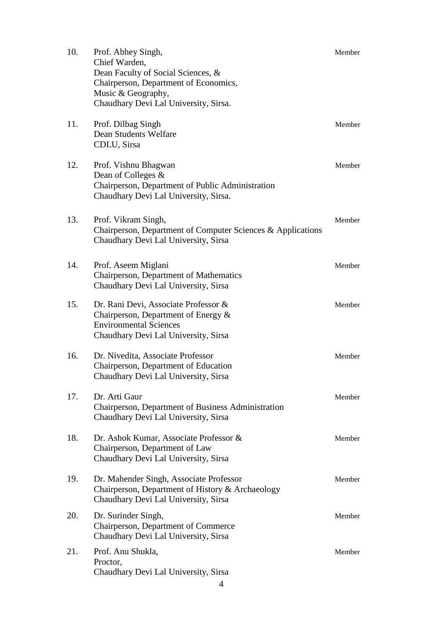| 10. | Prof. Abhey Singh,<br>Chief Warden,<br>Dean Faculty of Social Sciences, &<br>Chairperson, Department of Economics,<br>Music & Geography,<br>Chaudhary Devi Lal University, Sirsa. | Member |
|-----|-----------------------------------------------------------------------------------------------------------------------------------------------------------------------------------|--------|
| 11. | Prof. Dilbag Singh<br>Dean Students Welfare<br>CDLU, Sirsa                                                                                                                        | Member |
| 12. | Prof. Vishnu Bhagwan<br>Dean of Colleges &<br>Chairperson, Department of Public Administration<br>Chaudhary Devi Lal University, Sirsa.                                           | Member |
| 13. | Prof. Vikram Singh,<br>Chairperson, Department of Computer Sciences & Applications<br>Chaudhary Devi Lal University, Sirsa                                                        | Member |
| 14. | Prof. Aseem Miglani<br>Chairperson, Department of Mathematics<br>Chaudhary Devi Lal University, Sirsa                                                                             | Member |
| 15. | Dr. Rani Devi, Associate Professor &<br>Chairperson, Department of Energy $\&$<br><b>Environmental Sciences</b><br>Chaudhary Devi Lal University, Sirsa                           | Member |
| 16. | Dr. Nivedita, Associate Professor<br>Chairperson, Department of Education<br>Chaudhary Devi Lal University, Sirsa                                                                 | Member |
| 17. | Dr. Arti Gaur<br>Chairperson, Department of Business Administration<br>Chaudhary Devi Lal University, Sirsa                                                                       | Member |
| 18. | Dr. Ashok Kumar, Associate Professor &<br>Chairperson, Department of Law<br>Chaudhary Devi Lal University, Sirsa                                                                  | Member |
| 19. | Dr. Mahender Singh, Associate Professor<br>Chairperson, Department of History & Archaeology<br>Chaudhary Devi Lal University, Sirsa                                               | Member |
| 20. | Dr. Surinder Singh,<br>Chairperson, Department of Commerce<br>Chaudhary Devi Lal University, Sirsa                                                                                | Member |
| 21. | Prof. Anu Shukla,<br>Proctor,<br>Chaudhary Devi Lal University, Sirsa<br>$\overline{4}$                                                                                           | Member |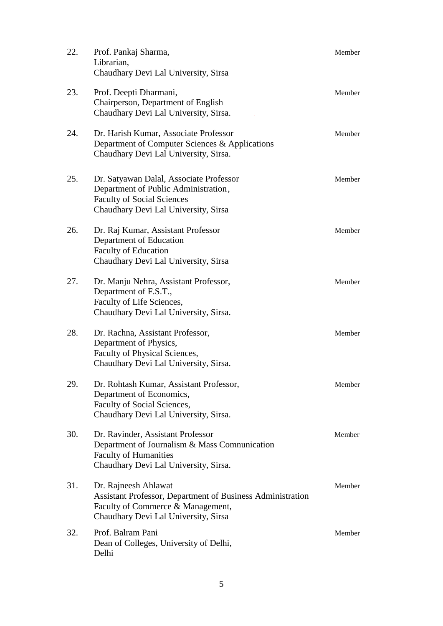| 22. | Prof. Pankaj Sharma,<br>Librarian,<br>Chaudhary Devi Lal University, Sirsa                                                                                      | Member |
|-----|-----------------------------------------------------------------------------------------------------------------------------------------------------------------|--------|
| 23. | Prof. Deepti Dharmani,<br>Chairperson, Department of English<br>Chaudhary Devi Lal University, Sirsa.                                                           | Member |
| 24. | Dr. Harish Kumar, Associate Professor<br>Department of Computer Sciences & Applications<br>Chaudhary Devi Lal University, Sirsa.                                | Member |
| 25. | Dr. Satyawan Dalal, Associate Professor<br>Department of Public Administration,<br><b>Faculty of Social Sciences</b><br>Chaudhary Devi Lal University, Sirsa    | Member |
| 26. | Dr. Raj Kumar, Assistant Professor<br>Department of Education<br><b>Faculty of Education</b><br>Chaudhary Devi Lal University, Sirsa                            | Member |
| 27. | Dr. Manju Nehra, Assistant Professor,<br>Department of F.S.T.,<br>Faculty of Life Sciences,<br>Chaudhary Devi Lal University, Sirsa.                            | Member |
| 28. | Dr. Rachna, Assistant Professor,<br>Department of Physics,<br>Faculty of Physical Sciences,<br>Chaudhary Devi Lal University, Sirsa.                            | Member |
| 29. | Dr. Rohtash Kumar, Assistant Professor,<br>Department of Economics,<br>Faculty of Social Sciences,<br>Chaudhary Devi Lal University, Sirsa.                     | Member |
| 30. | Dr. Ravinder, Assistant Professor<br>Department of Journalism & Mass Comnunication<br><b>Faculty of Humanities</b><br>Chaudhary Devi Lal University, Sirsa.     | Member |
| 31. | Dr. Rajneesh Ahlawat<br>Assistant Professor, Department of Business Administration<br>Faculty of Commerce & Management,<br>Chaudhary Devi Lal University, Sirsa | Member |
| 32. | Prof. Balram Pani<br>Dean of Colleges, University of Delhi,<br>Delhi                                                                                            | Member |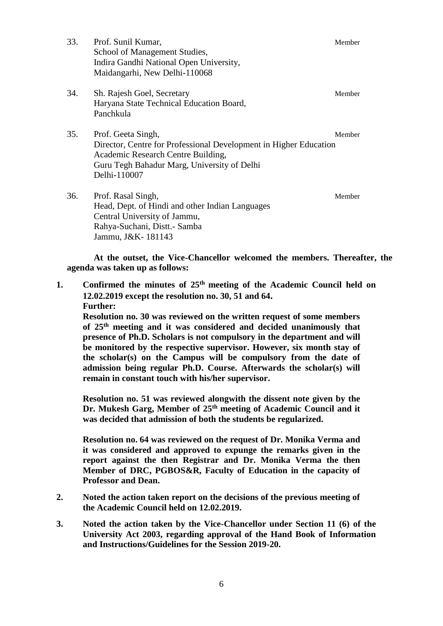| 33. | Prof. Sunil Kumar,<br>School of Management Studies,<br>Indira Gandhi National Open University,<br>Maidangarhi, New Delhi-110068                                                              | Member |
|-----|----------------------------------------------------------------------------------------------------------------------------------------------------------------------------------------------|--------|
| 34. | Sh. Rajesh Goel, Secretary<br>Haryana State Technical Education Board,<br>Panchkula                                                                                                          | Member |
| 35. | Prof. Geeta Singh,<br>Director, Centre for Professional Development in Higher Education<br>Academic Research Centre Building,<br>Guru Tegh Bahadur Marg, University of Delhi<br>Delhi-110007 | Member |
| 36. | Prof. Rasal Singh,<br>Head, Dept. of Hindi and other Indian Languages<br>Central University of Jammu,<br>Rahya-Suchani, Distt.- Samba<br>Jammu, J&K-181143                                   | Member |

**At the outset, the Vice-Chancellor welcomed the members. Thereafter, the agenda was taken up as follows:**

**1. Confirmed the minutes of 25th meeting of the Academic Council held on 12.02.2019 except the resolution no. 30, 51 and 64. Further:**

**Resolution no. 30 was reviewed on the written request of some members of 25th meeting and it was considered and decided unanimously that presence of Ph.D. Scholars is not compulsory in the department and will be monitored by the respective supervisor. However, six month stay of the scholar(s) on the Campus will be compulsory from the date of admission being regular Ph.D. Course. Afterwards the scholar(s) will remain in constant touch with his/her supervisor.**

**Resolution no. 51 was reviewed alongwith the dissent note given by the Dr. Mukesh Garg, Member of 25th meeting of Academic Council and it was decided that admission of both the students be regularized.**

**Resolution no. 64 was reviewed on the request of Dr. Monika Verma and it was considered and approved to expunge the remarks given in the report against the then Registrar and Dr. Monika Verma the then Member of DRC, PGBOS&R, Faculty of Education in the capacity of Professor and Dean.**

- **2. Noted the action taken report on the decisions of the previous meeting of the Academic Council held on 12.02.2019.**
- **3. Noted the action taken by the Vice-Chancellor under Section 11 (6) of the University Act 2003, regarding approval of the Hand Book of Information and Instructions/Guidelines for the Session 2019-20.**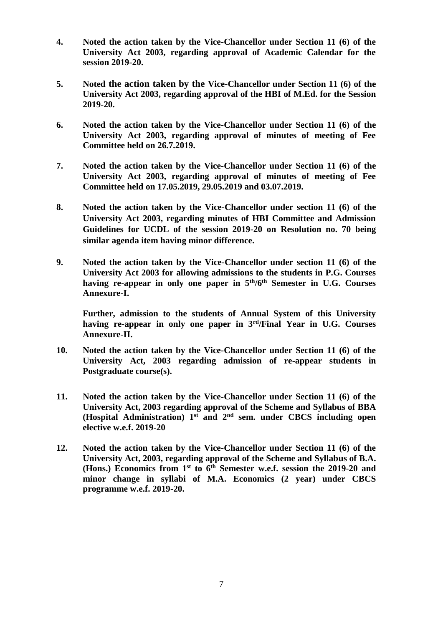- **4. Noted the action taken by the Vice-Chancellor under Section 11 (6) of the University Act 2003, regarding approval of Academic Calendar for the session 2019-20.**
- **5. Noted the action taken by the Vice-Chancellor under Section 11 (6) of the University Act 2003, regarding approval of the HBI of M.Ed. for the Session 2019-20.**
- **6. Noted the action taken by the Vice-Chancellor under Section 11 (6) of the University Act 2003, regarding approval of minutes of meeting of Fee Committee held on 26.7.2019.**
- **7. Noted the action taken by the Vice-Chancellor under Section 11 (6) of the University Act 2003, regarding approval of minutes of meeting of Fee Committee held on 17.05.2019, 29.05.2019 and 03.07.2019.**
- **8. Noted the action taken by the Vice-Chancellor under section 11 (6) of the University Act 2003, regarding minutes of HBI Committee and Admission Guidelines for UCDL of the session 2019-20 on Resolution no. 70 being similar agenda item having minor difference.**
- **9. Noted the action taken by the Vice-Chancellor under section 11 (6) of the University Act 2003 for allowing admissions to the students in P.G. Courses having re-appear in only one paper in 5th/6th Semester in U.G. Courses Annexure-I.**

**Further, admission to the students of Annual System of this University having re-appear in only one paper in 3rd/Final Year in U.G. Courses Annexure-II.**

- **10. Noted the action taken by the Vice-Chancellor under Section 11 (6) of the University Act, 2003 regarding admission of re-appear students in Postgraduate course(s).**
- **11. Noted the action taken by the Vice-Chancellor under Section 11 (6) of the University Act, 2003 regarding approval of the Scheme and Syllabus of BBA (Hospital Administration) 1st and 2nd sem. under CBCS including open elective w.e.f. 2019-20**
- **12. Noted the action taken by the Vice-Chancellor under Section 11 (6) of the University Act, 2003, regarding approval of the Scheme and Syllabus of B.A. (Hons.) Economics from 1 st to 6th Semester w.e.f. session the 2019-20 and minor change in syllabi of M.A. Economics (2 year) under CBCS programme w.e.f. 2019-20.**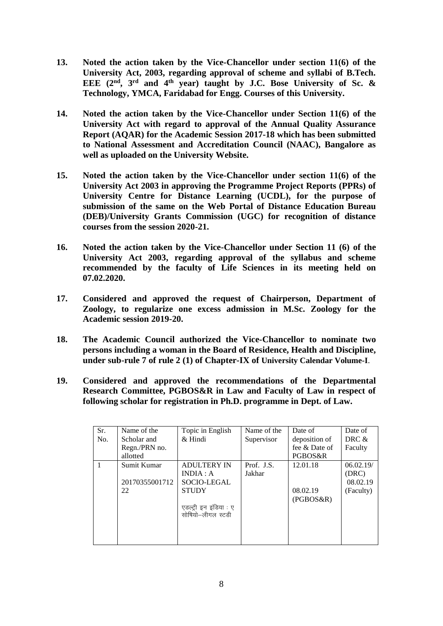- **13. Noted the action taken by the Vice-Chancellor under section 11(6) of the University Act, 2003, regarding approval of scheme and syllabi of B.Tech. EEE (2nd, 3rd and 4 th year) taught by J.C. Bose University of Sc. & Technology, YMCA, Faridabad for Engg. Courses of this University.**
- **14. Noted the action taken by the Vice-Chancellor under Section 11(6) of the University Act with regard to approval of the Annual Quality Assurance Report (AQAR) for the Academic Session 2017-18 which has been submitted to National Assessment and Accreditation Council (NAAC), Bangalore as well as uploaded on the University Website.**
- **15. Noted the action taken by the Vice-Chancellor under section 11(6) of the University Act 2003 in approving the Programme Project Reports (PPRs) of University Centre for Distance Learning (UCDL), for the purpose of submission of the same on the Web Portal of Distance Education Bureau (DEB)/University Grants Commission (UGC) for recognition of distance courses from the session 2020-21.**
- **16. Noted the action taken by the Vice-Chancellor under Section 11 (6) of the University Act 2003, regarding approval of the syllabus and scheme recommended by the faculty of Life Sciences in its meeting held on 07.02.2020.**
- **17. Considered and approved the request of Chairperson, Department of Zoology, to regularize one excess admission in M.Sc. Zoology for the Academic session 2019-20.**
- **18. The Academic Council authorized the Vice-Chancellor to nominate two persons including a woman in the Board of Residence, Health and Discipline, under sub-rule 7 of rule 2 (1) of Chapter-IX of University Calendar Volume-I**.
- **19. Considered and approved the recommendations of the Departmental Research Committee, PGBOS&R in Law and Faculty of Law in respect of following scholar for registration in Ph.D. programme in Dept. of Law.**

| Sr.<br>No. | Name of the<br>Scholar and          | Topic in English<br>$&$ Hindi                                                                                | Name of the<br>Supervisor | Date of<br>deposition of          | Date of<br>DRC &                            |
|------------|-------------------------------------|--------------------------------------------------------------------------------------------------------------|---------------------------|-----------------------------------|---------------------------------------------|
|            | Regn./PRN no.<br>allotted           |                                                                                                              |                           | fee & Date of<br>PGBOS&R          | Faculty                                     |
|            | Sumit Kumar<br>20170355001712<br>22 | <b>ADULTERY IN</b><br>INDIA: A<br>SOCIO-LEGAL<br><b>STUDY</b><br>एडल्ट्री इन इंडिया : ए<br>सोषियो-लीगल स्टडी | Prof. J.S.<br>Jakhar      | 12.01.18<br>08.02.19<br>(PGBOS&R) | 06.02.19/<br>(DRC)<br>08.02.19<br>(Faculty) |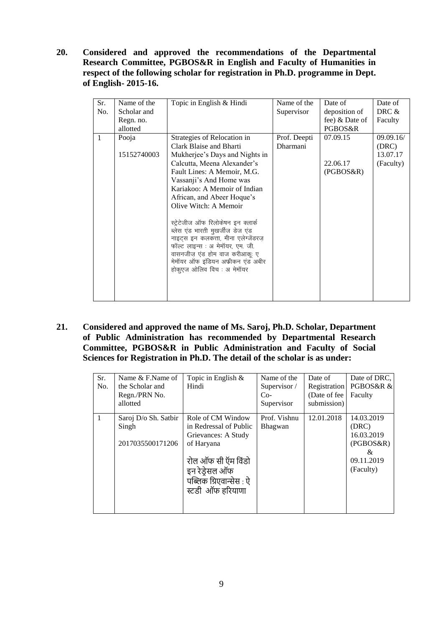**20. Considered and approved the recommendations of the Departmental Research Committee, PGBOS&R in English and Faculty of Humanities in respect of the following scholar for registration in Ph.D. programme in Dept. of English- 2015-16.**

| Sr.          | Name of the | Topic in English & Hindi             | Name of the     | Date of        | Date of   |
|--------------|-------------|--------------------------------------|-----------------|----------------|-----------|
| No.          | Scholar and |                                      | Supervisor      | deposition of  | DRC $&$   |
|              | Regn. no.   |                                      |                 | fee) & Date of | Faculty   |
|              | allotted    |                                      |                 | PGBOS&R        |           |
| $\mathbf{1}$ | Pooja       | Strategies of Relocation in          | Prof. Deepti    | 07.09.15       | 09.09.16/ |
|              |             | Clark Blaise and Bharti              | <b>Dharmani</b> |                | (DRC)     |
|              | 15152740003 | Mukherjee's Days and Nights in       |                 |                | 13.07.17  |
|              |             | Calcutta, Meena Alexander's          |                 | 22.06.17       | (Faculty) |
|              |             | Fault Lines: A Memoir, M.G.          |                 | (PGBOS&R)      |           |
|              |             | Vassanji's And Home was              |                 |                |           |
|              |             | Kariakoo: A Memoir of Indian         |                 |                |           |
|              |             | African, and Abeer Hoque's           |                 |                |           |
|              |             | Olive Witch: A Memoir                |                 |                |           |
|              |             |                                      |                 |                |           |
|              |             | स्ट्रेटेजीज ऑफ रिलोकेषन इन क्लार्क   |                 |                |           |
|              |             | ब्लेस एंड भारती मुखर्जीज डेज एंड     |                 |                |           |
|              |             | नाइट्स इन कलकत्ता, मीना एलेग्जेंडरज़ |                 |                |           |
|              |             | फॉल्ट लाइन्स : अ मेमॉयर, एम. जी.     |                 |                |           |
|              |             | वासनजीज एंड होम वाज करीआकू: ए        |                 |                |           |
|              |             | मेमॉयर ऑफ इंडियन अफ्रीकन एंड अबीर    |                 |                |           |
|              |             | होकुएज ओलिव विच : अ मेमॉयर           |                 |                |           |
|              |             |                                      |                 |                |           |
|              |             |                                      |                 |                |           |
|              |             |                                      |                 |                |           |

**21. Considered and approved the name of Ms. Saroj, Ph.D. Scholar, Department of Public Administration has recommended by Departmental Research Committee, PGBOS&R in Public Administration and Faculty of Social Sciences for Registration in Ph.D. The detail of the scholar is as under:**

| Sr. | Name $&$ F.Name of   | Topic in English $\&$   | Name of the  | Date of       | Date of DRC. |
|-----|----------------------|-------------------------|--------------|---------------|--------------|
| No. | the Scholar and      | Hindi                   | Supervisor / | Registration  | PGBOS&R &    |
|     | Regn./PRN No.        |                         | $Co-$        | (Date of fee) | Faculty      |
|     | allotted             |                         | Supervisor   | submission)   |              |
|     |                      |                         |              |               |              |
|     | Saroj D/o Sh. Satbir | Role of CM Window       | Prof. Vishnu | 12.01.2018    | 14.03.2019   |
|     | Singh                | in Redressal of Public  | Bhagwan      |               | (DRC)        |
|     |                      | Grievances: A Study     |              |               | 16.03.2019   |
|     | 2017035500171206     | of Haryana              |              |               | (PGBOS&R)    |
|     |                      |                         |              |               | &            |
|     |                      | रोल ऑफ सी ऍम विंडो      |              |               | 09.11.2019   |
|     |                      |                         |              |               |              |
|     |                      | इन रेड़ेसल ऑफ           |              |               | (Faculty)    |
|     |                      | पब्लिक ग्रिएवान्सेस : ऐ |              |               |              |
|     |                      | स्टडी ऑफ हरियाणा        |              |               |              |
|     |                      |                         |              |               |              |
|     |                      |                         |              |               |              |
|     |                      |                         |              |               |              |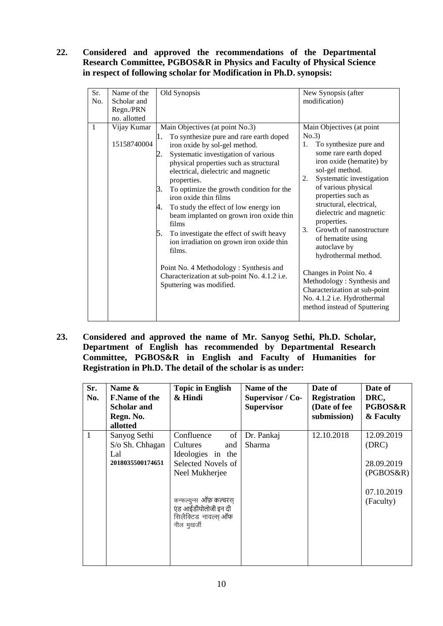#### **22. Considered and approved the recommendations of the Departmental Research Committee, PGBOS&R in Physics and Faculty of Physical Science in respect of following scholar for Modification in Ph.D. synopsis:**

| Sr.<br>No.   | Name of the<br>Scholar and<br>Regn./PRN<br>no. allotted | Old Synopsis                                                                                                                                                                                                                                                                                                                                                                                                                                                                                                                                                                                                                                                         | New Synopsis (after<br>modification)                                                                                                                                                                                                                                                                                                                                                                                                                                                                                                                |
|--------------|---------------------------------------------------------|----------------------------------------------------------------------------------------------------------------------------------------------------------------------------------------------------------------------------------------------------------------------------------------------------------------------------------------------------------------------------------------------------------------------------------------------------------------------------------------------------------------------------------------------------------------------------------------------------------------------------------------------------------------------|-----------------------------------------------------------------------------------------------------------------------------------------------------------------------------------------------------------------------------------------------------------------------------------------------------------------------------------------------------------------------------------------------------------------------------------------------------------------------------------------------------------------------------------------------------|
| $\mathbf{1}$ | Vijay Kumar<br>15158740004                              | Main Objectives (at point No.3)<br>To synthesize pure and rare earth doped<br>П.<br>iron oxide by sol-gel method.<br>Systematic investigation of various<br>physical properties such as structural<br>electrical, dielectric and magnetic<br>properties.<br>3.<br>To optimize the growth condition for the<br>iron oxide thin films<br>To study the effect of low energy ion<br>4.<br>beam implanted on grown iron oxide thin<br>films<br>To investigate the effect of swift heavy<br>5.<br>ion irradiation on grown iron oxide thin<br>films.<br>Point No. 4 Methodology: Synthesis and<br>Characterization at sub-point No. 4.1.2 i.e.<br>Sputtering was modified. | Main Objectives (at point<br>No.3<br>To synthesize pure and<br>1.<br>some rare earth doped<br>iron oxide (hematite) by<br>sol-gel method.<br>Systematic investigation<br>2.<br>of various physical<br>properties such as<br>structural, electrical,<br>dielectric and magnetic<br>properties.<br>Growth of nanostructure<br>3.<br>of hematite using<br>autoclave by<br>hydrothermal method.<br>Changes in Point No. 4<br>Methodology: Synthesis and<br>Characterization at sub-point<br>No. 4.1.2 i.e. Hydrothermal<br>method instead of Sputtering |

**23. Considered and approved the name of Mr. Sanyog Sethi, Ph.D. Scholar, Department of English has recommended by Departmental Research Committee, PGBOS&R in English and Faculty of Humanities for Registration in Ph.D. The detail of the scholar is as under:**

| Sr.<br>Name $\&$<br>No.<br>Regn. No.<br>allotted | <b>F.Name of the</b><br>Scholar and                 | <b>Topic in English</b><br>& Hindi                                                                                                                                                         | Name of the<br>Supervisor / Co-<br><b>Supervisor</b> | Date of<br><b>Registration</b><br>(Date of fee<br>submission) | Date of<br>DRC,<br><b>PGBOS&amp;R</b><br>& Faculty                        |
|--------------------------------------------------|-----------------------------------------------------|--------------------------------------------------------------------------------------------------------------------------------------------------------------------------------------------|------------------------------------------------------|---------------------------------------------------------------|---------------------------------------------------------------------------|
| $\mathbf{1}$<br>Lal                              | Sanyog Sethi<br>S/o Sh. Chhagan<br>2018035500174651 | Confluence<br>of<br>Cultures<br>and<br>Ideologies in the<br>Selected Novels of<br>Neel Mukherjee<br>कन्फल्युन्स ऑफ़ कल्चरस्<br>एंड आईडीयोलोजी इन दी<br>सिलैक्टिड नावल्स् ऑफ<br>नील मुखर्जी | Dr. Pankaj<br>Sharma                                 | 12.10.2018                                                    | 12.09.2019<br>(DRC)<br>28.09.2019<br>(PGBOS&R)<br>07.10.2019<br>(Faculty) |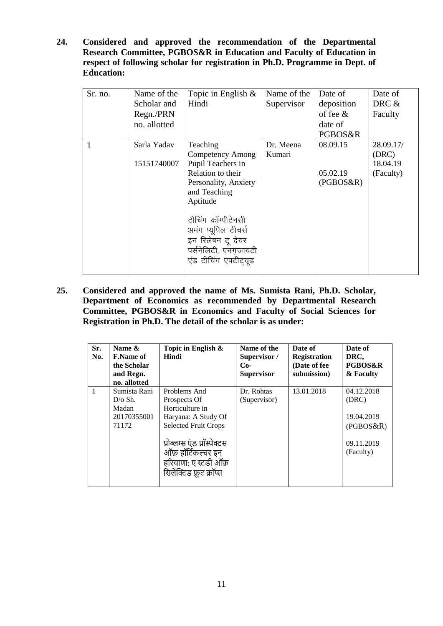**24. Considered and approved the recommendation of the Departmental Research Committee, PGBOS&R in Education and Faculty of Education in respect of following scholar for registration in Ph.D. Programme in Dept. of Education:**

| Sr. no. | Name of the<br>Scholar and<br>Regn./PRN<br>no. allotted | Topic in English $\&$<br>Hindi                                                                                                                                                                                                                      | Name of the<br>Supervisor | Date of<br>deposition<br>of fee $\&$<br>date of<br>PGBOS&R | Date of<br>DRC &<br>Faculty                 |
|---------|---------------------------------------------------------|-----------------------------------------------------------------------------------------------------------------------------------------------------------------------------------------------------------------------------------------------------|---------------------------|------------------------------------------------------------|---------------------------------------------|
|         | Sarla Yadav<br>15151740007                              | Teaching<br><b>Competency Among</b><br>Pupil Teachers in<br>Relation to their<br>Personality, Anxiety<br>and Teaching<br>Aptitude<br>टीचिंग कॉम्पीटेनसी<br>अमंग प्यूपिल टीचर्स<br>इन रिलेषन टू देयर<br>पर्सनेलिटी, एनगजायटी<br>एंड टीचिंग एपटीट्यूड | Dr. Meena<br>Kumari       | 08.09.15<br>05.02.19<br>(PGBOS&R)                          | 28.09.17/<br>(DRC)<br>18.04.19<br>(Faculty) |

**25. Considered and approved the name of Ms. Sumista Rani, Ph.D. Scholar, Department of Economics as recommended by Departmental Research Committee, PGBOS&R in Economics and Faculty of Social Sciences for Registration in Ph.D. The detail of the scholar is as under:**

| Sr.<br>No.   | Name &<br><b>F.Name of</b><br>the Scholar<br>and Regn.<br>no. allotted | Topic in English &<br>Hindi                                                                                                                                                                                   | Name of the<br>Supervisor /<br>$Co-$<br><b>Supervisor</b> | Date of<br><b>Registration</b><br>(Date of fee<br>submission) | Date of<br>DRC.<br><b>PGBOS&amp;R</b><br>& Faculty                        |
|--------------|------------------------------------------------------------------------|---------------------------------------------------------------------------------------------------------------------------------------------------------------------------------------------------------------|-----------------------------------------------------------|---------------------------------------------------------------|---------------------------------------------------------------------------|
| $\mathbf{1}$ | Sumista Rani<br>$D/\sigma$ Sh.<br>Madan<br>20170355001<br>71172        | Problems And<br>Prospects Of<br>Horticulture in<br>Haryana: A Study Of<br><b>Selected Fruit Crops</b><br>प्रोब्लम्स एंड प्रॉस्पेक्टस<br>ऑफ़ हॉर्टिकल्चर इन<br>हरियाणा: ए स्टडी ऑफ़<br>सिलेक्टिड फ्रूट क्रॉप्स | Dr. Rohtas<br>(Supervisor)                                | 13.01.2018                                                    | 04.12.2018<br>(DRC)<br>19.04.2019<br>(PGBOS&R)<br>09.11.2019<br>(Faculty) |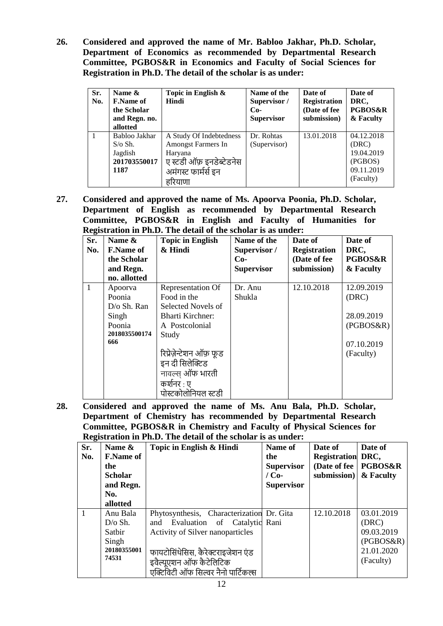**26. Considered and approved the name of Mr. Babloo Jakhar, Ph.D. Scholar, Department of Economics as recommended by Departmental Research Committee, PGBOS&R in Economics and Faculty of Social Sciences for Registration in Ph.D. The detail of the scholar is as under:**

| Sr.<br>No. | Name $\&$<br><b>F.Name of</b><br>the Scholar<br>and Regn. no.<br>allotted | Topic in English $\&$<br>Hindi                                                                                         | Name of the<br>Supervisor /<br>$Co-$<br><b>Supervisor</b> | Date of<br><b>Registration</b><br>(Date of fee<br>submission) | Date of<br>DRC,<br><b>PGBOS&amp;R</b><br>& Faculty                      |
|------------|---------------------------------------------------------------------------|------------------------------------------------------------------------------------------------------------------------|-----------------------------------------------------------|---------------------------------------------------------------|-------------------------------------------------------------------------|
|            | Babloo Jakhar<br>$S/\sigma S$ h.<br>Jagdish<br>201703550017<br>1187       | A Study Of Indebtedness<br>Amongst Farmers In<br>Haryana<br>ए स्टडी ऑफ़ इनडेब्टेडनेस<br>अमंगस्ट फार्मर्स इन<br>हरियाणा | Dr. Rohtas<br>(Supervisor)                                | 13.01.2018                                                    | 04.12.2018<br>(DRC)<br>19.04.2019<br>(PGBOS)<br>09.11.2019<br>(Faculty) |

**27. Considered and approved the name of Ms. Apoorva Poonia, Ph.D. Scholar, Department of English as recommended by Departmental Research Committee, PGBOS&R in English and Faculty of Humanities for Registration in Ph.D. The detail of the scholar is as under:**

| Sr.          | подылить на типр.<br>Name & | <b>Topic in English</b> | Name of the       | Date of             | Date of            |
|--------------|-----------------------------|-------------------------|-------------------|---------------------|--------------------|
| No.          | <b>F.Name of</b>            | & Hindi                 | Supervisor /      | <b>Registration</b> | DRC,               |
|              | the Scholar                 |                         | $Co-$             | (Date of fee        | <b>PGBOS&amp;R</b> |
|              | and Regn.                   |                         | <b>Supervisor</b> | submission)         | & Faculty          |
|              | no. allotted                |                         |                   |                     |                    |
| $\mathbf{1}$ | Apoorva                     | Representation Of       | Dr. Anu           | 12.10.2018          | 12.09.2019         |
|              | Poonia                      | Food in the             | Shukla            |                     | (DRC)              |
|              | D/o Sh. Ran                 | Selected Novels of      |                   |                     |                    |
|              | Singh                       | <b>Bharti Kirchner:</b> |                   |                     | 28.09.2019         |
|              | Poonia                      | A Postcolonial          |                   |                     | (PGBOS&R)          |
|              | 2018035500174               | Study                   |                   |                     |                    |
|              | 666                         |                         |                   |                     | 07.10.2019         |
|              |                             | रिप्रेज़ेन्टेशन ऑफ़ फूड |                   |                     | (Faculty)          |
|              |                             | इन दी सिलेक्टिड         |                   |                     |                    |
|              |                             | नावल्स ऑफ भारती         |                   |                     |                    |
|              |                             | कर्शनर : ए              |                   |                     |                    |
|              |                             | पोस्टकोलोनियल स्टडी     |                   |                     |                    |

**28. Considered and approved the name of Ms. Anu Bala, Ph.D. Scholar, Department of Chemistry has recommended by Departmental Research Committee, PGBOS&R in Chemistry and Faculty of Physical Sciences for Registration in Ph.D. The detail of the scholar is as under:**

|              | <u>reportanon in 1 mp; The acum of the scholar to us unucl</u> |                                           |                   |                          |                    |  |  |
|--------------|----------------------------------------------------------------|-------------------------------------------|-------------------|--------------------------|--------------------|--|--|
| Sr.          | Name &                                                         | Topic in English & Hindi                  | Name of           | Date of                  | Date of            |  |  |
| No.          | <b>F.Name of</b>                                               |                                           | the               | <b>Registration DRC,</b> |                    |  |  |
|              | the                                                            |                                           | <b>Supervisor</b> | (Date of fee $\vert$     | <b>PGBOS&amp;R</b> |  |  |
|              | <b>Scholar</b>                                                 |                                           | $/$ Co-           | submission)              | & Faculty          |  |  |
|              | and Regn.                                                      |                                           | <b>Supervisor</b> |                          |                    |  |  |
|              | No.                                                            |                                           |                   |                          |                    |  |  |
|              | allotted                                                       |                                           |                   |                          |                    |  |  |
| $\mathbf{1}$ | Anu Bala                                                       | Phytosynthesis, Characterization Dr. Gita |                   | 12.10.2018               | 03.01.2019         |  |  |
|              | $D/O$ Sh.                                                      | and Evaluation of Catalytic Rani          |                   |                          | (DRC)              |  |  |
|              | Sathir                                                         | <b>Activity of Silver nanoparticles</b>   |                   |                          | 09.03.2019         |  |  |
|              | Singh                                                          |                                           |                   |                          | (PGBOS&R)          |  |  |
|              | 20180355001                                                    | फायटोसिंथेसिस, कैरेक्टराइजेशन एंड         |                   |                          | 21.01.2020         |  |  |
|              | 74531                                                          | इवैल्यूएशन ऑफ कैटेलिटिक                   |                   |                          | (Faculty)          |  |  |
|              |                                                                | एक्टिविटी ऑफ सिल्वर नैनो पार्टिकल्स       |                   |                          |                    |  |  |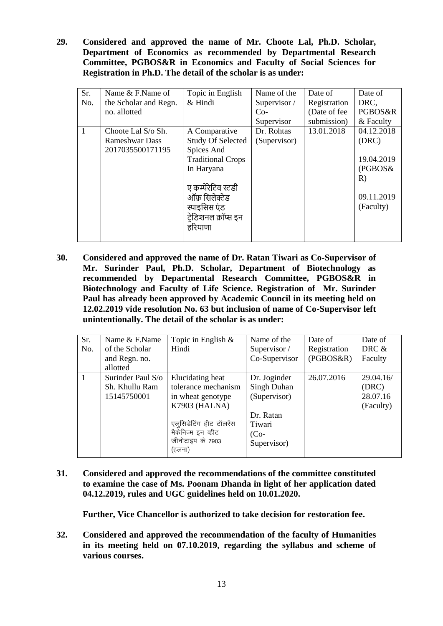**29. Considered and approved the name of Mr. Choote Lal, Ph.D. Scholar, Department of Economics as recommended by Departmental Research Committee, PGBOS&R in Economics and Faculty of Social Sciences for Registration in Ph.D. The detail of the scholar is as under:**

| Sr.          | Name & F.Name of      | Topic in English         | Name of the  | Date of      | Date of    |
|--------------|-----------------------|--------------------------|--------------|--------------|------------|
| No.          | the Scholar and Regn. | & Hindi                  | Supervisor / | Registration | DRC.       |
|              | no. allotted          |                          | $Co-$        | (Date of fee | PGBOS&R    |
|              |                       |                          | Supervisor   | submission)  | & Faculty  |
| $\mathbf{1}$ | Choote Lal S/o Sh.    | A Comparative            | Dr. Rohtas   | 13.01.2018   | 04.12.2018 |
|              | Rameshwar Dass        | <b>Study Of Selected</b> | (Supervisor) |              | (DRC)      |
|              | 2017035500171195      | Spices And               |              |              |            |
|              |                       | <b>Traditional Crops</b> |              |              | 19.04.2019 |
|              |                       | In Haryana               |              |              | (PGBOS&    |
|              |                       |                          |              |              | R)         |
|              |                       | ए कम्पेरेटिव स्टडी       |              |              |            |
|              |                       | ऑफ़ सिलेक्टेड            |              |              | 09.11.2019 |
|              |                       | स्पाइसिस एंड             |              |              | (Faculty)  |
|              |                       | टेडिशनल क्रॉप्स इन       |              |              |            |
|              |                       | हरियाणा                  |              |              |            |
|              |                       |                          |              |              |            |

**30. Considered and approved the name of Dr. Ratan Tiwari as Co-Supervisor of Mr. Surinder Paul, Ph.D. Scholar, Department of Biotechnology as recommended by Departmental Research Committee, PGBOS&R in Biotechnology and Faculty of Life Science. Registration of Mr. Surinder Paul has already been approved by Academic Council in its meeting held on 12.02.2019 vide resolution No. 63 but inclusion of name of Co-Supervisor left unintentionally. The detail of the scholar is as under:**

| Sr.<br>No. | Name & F.Name<br>of the Scholar<br>and Regn. no.<br>allotted | Topic in English $\&$<br>Hindi                                                                                                                               | Name of the<br>Supervisor /<br>Co-Supervisor                                                | Date of<br>Registration<br>(PGBOS&R) | Date of<br>DRC $&$<br>Faculty               |
|------------|--------------------------------------------------------------|--------------------------------------------------------------------------------------------------------------------------------------------------------------|---------------------------------------------------------------------------------------------|--------------------------------------|---------------------------------------------|
|            | Surinder Paul S/o<br>Sh. Khullu Ram<br>15145750001           | Elucidating heat<br>tolerance mechanism<br>in wheat genotype<br>K7903 (HALNA)<br>एलुसिडेटिंग हीट टॉलरेंस<br>मैकेनिज्म इन व्हीट<br>जीनोटाइप के 7903<br>(हलना) | Dr. Joginder<br>Singh Duhan<br>(Supervisor)<br>Dr. Ratan<br>Tiwari<br>$(Co-$<br>Supervisor) | 26.07.2016                           | 29.04.16/<br>(DRC)<br>28.07.16<br>(Faculty) |

**31. Considered and approved the recommendations of the committee constituted to examine the case of Ms. Poonam Dhanda in light of her application dated 04.12.2019, rules and UGC guidelines held on 10.01.2020.**

**Further, Vice Chancellor is authorized to take decision for restoration fee.**

**32. Considered and approved the recommendation of the faculty of Humanities in its meeting held on 07.10.2019, regarding the syllabus and scheme of various courses.**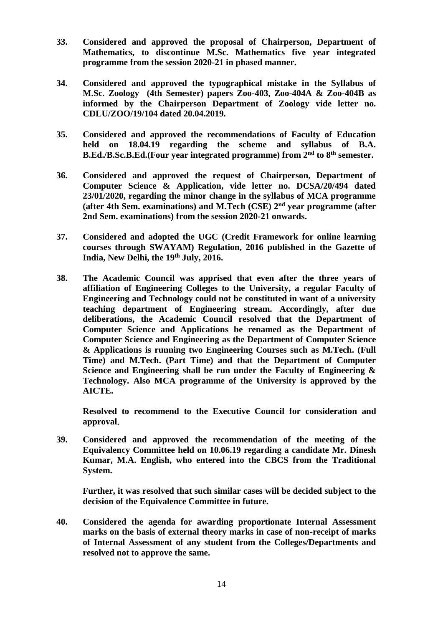- **33. Considered and approved the proposal of Chairperson, Department of Mathematics, to discontinue M.Sc. Mathematics five year integrated programme from the session 2020-21 in phased manner.**
- **34. Considered and approved the typographical mistake in the Syllabus of M.Sc. Zoology (4th Semester) papers Zoo-403, Zoo-404A & Zoo-404B as informed by the Chairperson Department of Zoology vide letter no. CDLU/ZOO/19/104 dated 20.04.2019.**
- **35. Considered and approved the recommendations of Faculty of Education held on 18.04.19 regarding the scheme and syllabus of B.A. B.Ed./B.Sc.B.Ed.(Four year integrated programme) from 2 nd to 8 th semester.**
- **36. Considered and approved the request of Chairperson, Department of Computer Science & Application, vide letter no. DCSA/20/494 dated 23/01/2020, regarding the minor change in the syllabus of MCA programme (after 4th Sem. examinations) and M.Tech (CSE) 2nd year programme (after 2nd Sem. examinations) from the session 2020-21 onwards.**
- **37. Considered and adopted the UGC (Credit Framework for online learning courses through SWAYAM) Regulation, 2016 published in the Gazette of India, New Delhi, the 19th July, 2016.**
- **38. The Academic Council was apprised that even after the three years of affiliation of Engineering Colleges to the University, a regular Faculty of Engineering and Technology could not be constituted in want of a university teaching department of Engineering stream. Accordingly, after due deliberations, the Academic Council resolved that the Department of Computer Science and Applications be renamed as the Department of Computer Science and Engineering as the Department of Computer Science & Applications is running two Engineering Courses such as M.Tech. (Full Time) and M.Tech. (Part Time) and that the Department of Computer Science and Engineering shall be run under the Faculty of Engineering & Technology. Also MCA programme of the University is approved by the AICTE.**

**Resolved to recommend to the Executive Council for consideration and approval**.

**39. Considered and approved the recommendation of the meeting of the Equivalency Committee held on 10.06.19 regarding a candidate Mr. Dinesh Kumar, M.A. English, who entered into the CBCS from the Traditional System.**

**Further, it was resolved that such similar cases will be decided subject to the decision of the Equivalence Committee in future.**

**40. Considered the agenda for awarding proportionate Internal Assessment marks on the basis of external theory marks in case of non-receipt of marks of Internal Assessment of any student from the Colleges/Departments and resolved not to approve the same.**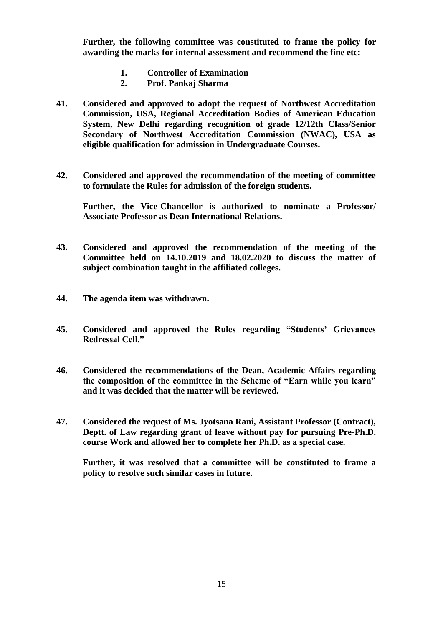**Further, the following committee was constituted to frame the policy for awarding the marks for internal assessment and recommend the fine etc:**

- **1. Controller of Examination**
- **2. Prof. Pankaj Sharma**
- **41. Considered and approved to adopt the request of Northwest Accreditation Commission, USA, Regional Accreditation Bodies of American Education System, New Delhi regarding recognition of grade 12/12th Class/Senior Secondary of Northwest Accreditation Commission (NWAC), USA as eligible qualification for admission in Undergraduate Courses.**
- **42. Considered and approved the recommendation of the meeting of committee to formulate the Rules for admission of the foreign students.**

**Further, the Vice-Chancellor is authorized to nominate a Professor/ Associate Professor as Dean International Relations.**

- **43. Considered and approved the recommendation of the meeting of the Committee held on 14.10.2019 and 18.02.2020 to discuss the matter of subject combination taught in the affiliated colleges.**
- **44. The agenda item was withdrawn.**
- **45. Considered and approved the Rules regarding "Students' Grievances Redressal Cell."**
- **46. Considered the recommendations of the Dean, Academic Affairs regarding the composition of the committee in the Scheme of "Earn while you learn" and it was decided that the matter will be reviewed.**
- **47. Considered the request of Ms. Jyotsana Rani, Assistant Professor (Contract), Deptt. of Law regarding grant of leave without pay for pursuing Pre-Ph.D. course Work and allowed her to complete her Ph.D. as a special case.**

**Further, it was resolved that a committee will be constituted to frame a policy to resolve such similar cases in future.**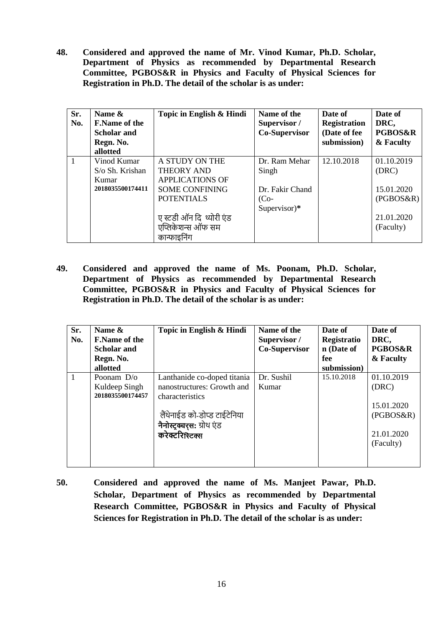**48. Considered and approved the name of Mr. Vinod Kumar, Ph.D. Scholar, Department of Physics as recommended by Departmental Research Committee, PGBOS&R in Physics and Faculty of Physical Sciences for Registration in Ph.D. The detail of the scholar is as under:**

| Sr.<br>No. | Name &<br><b>F.Name of the</b><br><b>Scholar and</b><br>Regn. No.<br>allotted | Topic in English & Hindi | Name of the<br>Supervisor /<br>Co-Supervisor | Date of<br><b>Registration</b><br>(Date of fee<br>submission) | Date of<br>DRC,<br><b>PGBOS&amp;R</b><br>& Faculty |
|------------|-------------------------------------------------------------------------------|--------------------------|----------------------------------------------|---------------------------------------------------------------|----------------------------------------------------|
| 1          | Vinod Kumar                                                                   | A STUDY ON THE           | Dr. Ram Mehar                                | 12.10.2018                                                    | 01.10.2019                                         |
|            | $S$ /o Sh. Krishan                                                            | <b>THEORY AND</b>        | Singh                                        |                                                               | (DRC)                                              |
|            | Kumar                                                                         | <b>APPLICATIONS OF</b>   |                                              |                                                               |                                                    |
|            | 2018035500174411                                                              | <b>SOME CONFINING</b>    | Dr. Fakir Chand                              |                                                               | 15.01.2020                                         |
|            |                                                                               | <b>POTENTIALS</b>        | $(Co-$                                       |                                                               | (PGBOS&R)                                          |
|            |                                                                               |                          | Supervisor) $*$                              |                                                               |                                                    |
|            |                                                                               | ए स्टडी ऑन दि थ्योरी एंड |                                              |                                                               | 21.01.2020                                         |
|            |                                                                               | एप्लिकेशन्स ऑफ सम        |                                              |                                                               | (Faculty)                                          |
|            |                                                                               | कान्फाइनिंग              |                                              |                                                               |                                                    |

**49. Considered and approved the name of Ms. Poonam, Ph.D. Scholar, Department of Physics as recommended by Departmental Research Committee, PGBOS&R in Physics and Faculty of Physical Sciences for Registration in Ph.D. The detail of the scholar is as under:**

| Sr.<br>No. | Name &<br><b>F.Name of the</b><br><b>Scholar and</b><br>Regn. No.<br>allotted | Topic in English & Hindi                                                                                                                                      | Name of the<br>Supervisor /<br>Co-Supervisor | Date of<br>Registratio<br>n (Date of<br>fee<br>submission) | Date of<br>DRC,<br><b>PGBOS&amp;R</b><br>& Faculty                        |
|------------|-------------------------------------------------------------------------------|---------------------------------------------------------------------------------------------------------------------------------------------------------------|----------------------------------------------|------------------------------------------------------------|---------------------------------------------------------------------------|
|            | Poonam D/o<br>Kuldeep Singh<br>2018035500174457                               | Lanthanide co-doped titania<br>nanostructures: Growth and<br>characteristics<br>लैंथेनाईड को-डोप्ड टाईटेनिया<br>नैनोस्ट्रक्चर्स: ग्रोथ एंड<br>करेक्टरिस्टिक्स | Dr. Sushil<br>Kumar                          | 15.10.2018                                                 | 01.10.2019<br>(DRC)<br>15.01.2020<br>(PGBOS&R)<br>21.01.2020<br>(Faculty) |

**50. Considered and approved the name of Ms. Manjeet Pawar, Ph.D. Scholar, Department of Physics as recommended by Departmental Research Committee, PGBOS&R in Physics and Faculty of Physical Sciences for Registration in Ph.D. The detail of the scholar is as under:**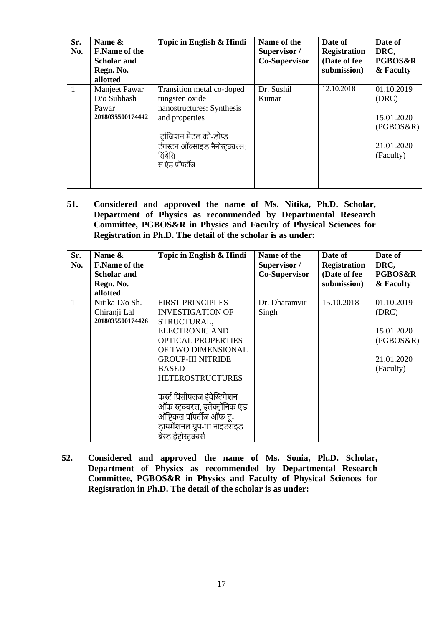| Sr.<br>No.    | Name &<br><b>F.Name of the</b><br><b>Scholar and</b><br>Regn. No.<br>allotted | Topic in English & Hindi                                                                                                                                                             | Name of the<br>Supervisor /<br>Co-Supervisor | Date of<br><b>Registration</b><br>(Date of fee<br>submission) | Date of<br>DRC,<br><b>PGBOS&amp;R</b><br>& Faculty                        |
|---------------|-------------------------------------------------------------------------------|--------------------------------------------------------------------------------------------------------------------------------------------------------------------------------------|----------------------------------------------|---------------------------------------------------------------|---------------------------------------------------------------------------|
| $^{\prime}$ 1 | Manjeet Pawar<br>D/o Subhash<br>Pawar<br>2018035500174442                     | Transition metal co-doped<br>tungsten oxide<br>nanostructures: Synthesis<br>and properties<br>ट़ांजिशन मेटल को-डोप्ड<br>टंगस्टन ऑक्साइड नैनोस्टक्वरस:<br>सिंथेसि<br>स एंड प्रॉपर्टीज | Dr. Sushil<br>Kumar                          | 12.10.2018                                                    | 01.10.2019<br>(DRC)<br>15.01.2020<br>(PGBOS&R)<br>21.01.2020<br>(Faculty) |

**51. Considered and approved the name of Ms. Nitika, Ph.D. Scholar, Department of Physics as recommended by Departmental Research Committee, PGBOS&R in Physics and Faculty of Physical Sciences for Registration in Ph.D. The detail of the scholar is as under:**

| Sr.<br>No. | Name &<br><b>F.Name of the</b><br><b>Scholar and</b><br>Regn. No.<br>allotted | Topic in English & Hindi                                                                                                                                                                                                                                                                                                                                                      | Name of the<br>Supervisor /<br>Co-Supervisor | Date of<br><b>Registration</b><br>(Date of fee<br>submission) | Date of<br>DRC,<br><b>PGBOS&amp;R</b><br>& Faculty                        |
|------------|-------------------------------------------------------------------------------|-------------------------------------------------------------------------------------------------------------------------------------------------------------------------------------------------------------------------------------------------------------------------------------------------------------------------------------------------------------------------------|----------------------------------------------|---------------------------------------------------------------|---------------------------------------------------------------------------|
| 1          | Nitika D/o Sh.<br>Chiranji Lal<br>2018035500174426                            | <b>FIRST PRINCIPLES</b><br><b>INVESTIGATION OF</b><br>STRUCTURAL,<br><b>ELECTRONIC AND</b><br><b>OPTICAL PROPERTIES</b><br>OF TWO DIMENSIONAL<br><b>GROUP-III NITRIDE</b><br><b>BASED</b><br><b>HETEROSTRUCTURES</b><br>फर्स्ट प्रिंसीपलज इंवेस्टिगेशन<br>ऑफ स्टुक्चरल, इलेक्ट्रॉनिक एंड<br>ऑप्टिकल प्रॉपर्टीज ऑफ टू-<br>ड़ायमेंशनल ग्रुप-III नाइटराइड<br>बेस्ड हेटोस्टक्चर्स | Dr. Dharamvir<br>Singh                       | 15.10.2018                                                    | 01.10.2019<br>(DRC)<br>15.01.2020<br>(PGBOS&R)<br>21.01.2020<br>(Faculty) |

**52. Considered and approved the name of Ms. Sonia, Ph.D. Scholar, Department of Physics as recommended by Departmental Research Committee, PGBOS&R in Physics and Faculty of Physical Sciences for Registration in Ph.D. The detail of the scholar is as under:**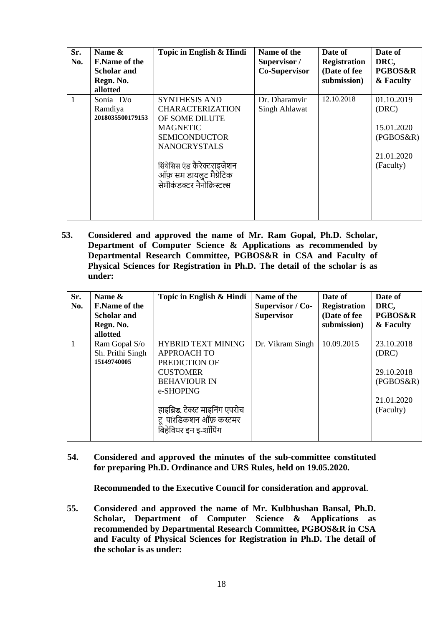| Sr.<br>No. | Name &<br><b>F.Name of the</b><br>Scholar and<br>Regn. No.<br>allotted | Topic in English & Hindi                                                                                                                                                                                                    | Name of the<br>Supervisor /<br>Co-Supervisor | Date of<br><b>Registration</b><br>(Date of fee<br>submission) | Date of<br>DRC,<br><b>PGBOS&amp;R</b><br>& Faculty                        |
|------------|------------------------------------------------------------------------|-----------------------------------------------------------------------------------------------------------------------------------------------------------------------------------------------------------------------------|----------------------------------------------|---------------------------------------------------------------|---------------------------------------------------------------------------|
| 1          | Sonia D/o<br>Ramdiya<br>2018035500179153                               | <b>SYNTHESIS AND</b><br><b>CHARACTERIZATION</b><br>OF SOME DILUTE<br><b>MAGNETIC</b><br><b>SEMICONDUCTOR</b><br><b>NANOCRYSTALS</b><br>सिंथेसिस एंड कैरेक्टराइजेशन<br>ऑफ़ सम डायलुट मैग्नेटिक<br>सेमीकंडक्टर नैनोक्रिस्टल्स | Dr. Dharamvir<br>Singh Ahlawat               | 12.10.2018                                                    | 01.10.2019<br>(DRC)<br>15.01.2020<br>(PGBOS&R)<br>21.01.2020<br>(Faculty) |

**53. Considered and approved the name of Mr. Ram Gopal, Ph.D. Scholar, Department of Computer Science & Applications as recommended by Departmental Research Committee, PGBOS&R in CSA and Faculty of Physical Sciences for Registration in Ph.D. The detail of the scholar is as under:**

| Sr.<br>No. | Name &<br><b>F.Name of the</b><br><b>Scholar and</b><br>Regn. No.<br>allotted | Topic in English & Hindi                                                                                                                                                                                     | Name of the<br>Supervisor / Co-<br><b>Supervisor</b> | Date of<br><b>Registration</b><br>(Date of fee<br>submission) | Date of<br>DRC,<br><b>PGBOS&amp;R</b><br>& Faculty                        |
|------------|-------------------------------------------------------------------------------|--------------------------------------------------------------------------------------------------------------------------------------------------------------------------------------------------------------|------------------------------------------------------|---------------------------------------------------------------|---------------------------------------------------------------------------|
| 1          | Ram Gopal S/o<br>Sh. Prithi Singh<br>15149740005                              | <b>HYBRID TEXT MINING</b><br><b>APPROACH TO</b><br>PREDICTION OF<br><b>CUSTOMER</b><br><b>BEHAVIOUR IN</b><br>e-SHOPING<br>हाइब्रिड. टेक्स्ट माइनिंग एपरोच<br>टू परिडिकशन ऑफ़ कस्टमर<br>बिहेवियर इन इ-शॉपिंग | Dr. Vikram Singh                                     | 10.09.2015                                                    | 23.10.2018<br>(DRC)<br>29.10.2018<br>(PGBOS&R)<br>21.01.2020<br>(Faculty) |

**54. Considered and approved the minutes of the sub-committee constituted for preparing Ph.D. Ordinance and URS Rules, held on 19.05.2020.** 

**Recommended to the Executive Council for consideration and approval**.

**55. Considered and approved the name of Mr. Kulbhushan Bansal, Ph.D. Scholar, Department of Computer Science & Applications as recommended by Departmental Research Committee, PGBOS&R in CSA and Faculty of Physical Sciences for Registration in Ph.D. The detail of the scholar is as under:**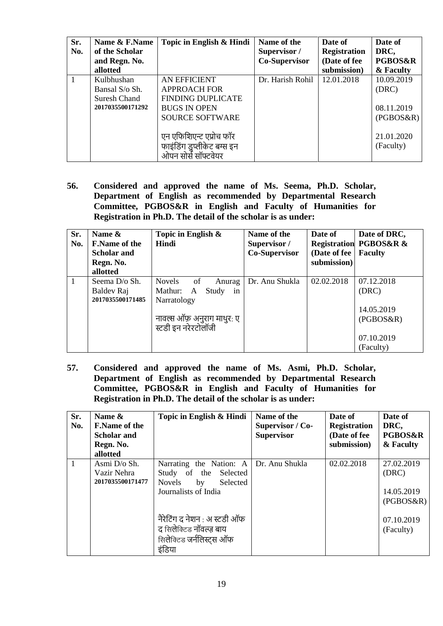| Sr.<br>No. | Name & F.Name<br>of the Scholar                                  | Topic in English & Hindi                                                                                         | Name of the<br>Supervisor / | Date of<br><b>Registration</b> | Date of<br>DRC,                                |
|------------|------------------------------------------------------------------|------------------------------------------------------------------------------------------------------------------|-----------------------------|--------------------------------|------------------------------------------------|
|            | and Regn. No.                                                    |                                                                                                                  | Co-Supervisor               | (Date of fee                   | <b>PGBOS&amp;R</b>                             |
|            | allotted                                                         |                                                                                                                  |                             | submission)                    | & Faculty                                      |
|            | Kulbhushan<br>Bansal S/o Sh.<br>Suresh Chand<br>2017035500171292 | AN EFFICIENT<br><b>APPROACH FOR</b><br><b>FINDING DUPLICATE</b><br><b>BUGS IN OPEN</b><br><b>SOURCE SOFTWARE</b> | Dr. Harish Rohil            | 12.01.2018                     | 10.09.2019<br>(DRC)<br>08.11.2019<br>(PGBOS&R) |
|            |                                                                  | एन एफिशिएन्ट एप्रोच फॉर<br>फाइंडिंग डुप्लीकेट बग्स इन<br>ओपन सोर्स सॉफ्टवेयर                                     |                             |                                | 21.01.2020<br>(Faculty)                        |

**56. Considered and approved the name of Ms. Seema, Ph.D. Scholar, Department of English as recommended by Departmental Research Committee, PGBOS&R in English and Faculty of Humanities for Registration in Ph.D. The detail of the scholar is as under:**

| Sr.<br>No. | Name &<br><b>F.Name of the</b><br><b>Scholar and</b><br>Regn. No.<br>allotted | Topic in English $\&$<br><b>Hindi</b>                                                                                     | Name of the<br>Supervisor /<br>Co-Supervisor | Date of<br>(Date of fee)<br>submission) | Date of DRC,<br><b>Registration PGBOS&amp;R &amp;</b><br><b>Faculty</b>   |
|------------|-------------------------------------------------------------------------------|---------------------------------------------------------------------------------------------------------------------------|----------------------------------------------|-----------------------------------------|---------------------------------------------------------------------------|
| -1         | Seema D/o Sh.<br>Baldev Raj<br>2017035500171485                               | Novels<br>of<br>Anurag<br>Mathur:<br>Study<br>A<br>in<br>Narratology<br>नावल्स ऑफ़ अनुराग माथुर: ए<br>स्टडी इन नरेरटोलॉजी | Dr. Anu Shukla                               | 02.02.2018                              | 07.12.2018<br>(DRC)<br>14.05.2019<br>(PGBOS&R)<br>07.10.2019<br>(Faculty) |

**57. Considered and approved the name of Ms. Asmi, Ph.D. Scholar, Department of English as recommended by Departmental Research Committee, PGBOS&R in English and Faculty of Humanities for Registration in Ph.D. The detail of the scholar is as under:**

| Sr.<br>No. | Name &<br><b>F.Name of the</b><br><b>Scholar and</b><br>Regn. No.<br>allotted | Topic in English & Hindi                                                                             | Name of the<br>Supervisor / Co-<br><b>Supervisor</b> | Date of<br><b>Registration</b><br>(Date of fee<br>submission) | Date of<br>DRC,<br><b>PGBOS&amp;R</b><br>& Faculty |
|------------|-------------------------------------------------------------------------------|------------------------------------------------------------------------------------------------------|------------------------------------------------------|---------------------------------------------------------------|----------------------------------------------------|
| 1          | Asmi D/o Sh.<br>Vazir Nehra<br>2017035500171477                               | Narrating the Nation: A<br>Study of the Selected<br>Novels<br>by<br>Selected<br>Journalists of India | Dr. Anu Shukla                                       | 02.02.2018                                                    | 27.02.2019<br>(DRC)<br>14.05.2019<br>(PGBOS&R)     |
|            |                                                                               | नैरेटिंग द नेशन : अ स्टडी ऑफ<br>द सिलेक्टिड नॉवल्ज़ बाय<br>सिलेक्टिड जर्नलिस्ट्स ऑफ<br>इंडिया        |                                                      |                                                               | 07.10.2019<br>(Faculty)                            |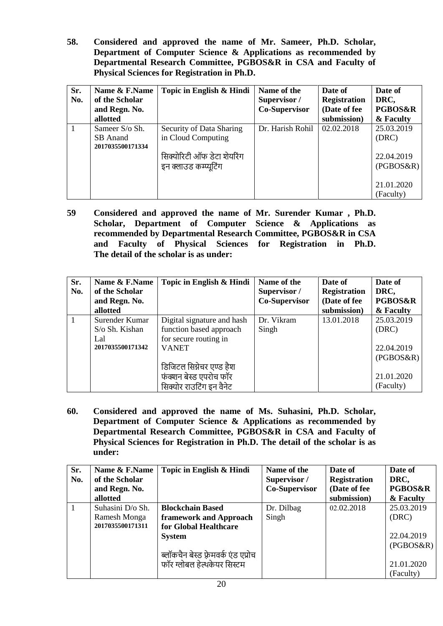**58. Considered and approved the name of Mr. Sameer, Ph.D. Scholar, Department of Computer Science & Applications as recommended by Departmental Research Committee, PGBOS&R in CSA and Faculty of Physical Sciences for Registration in Ph.D.** 

| Sr.<br>No. | Name & F.Name<br>of the Scholar<br>and Regn. No.<br>allotted | Topic in English & Hindi                                                                              | Name of the<br>Supervisor /<br><b>Co-Supervisor</b> | Date of<br><b>Registration</b><br>(Date of fee<br>submission) | Date of<br>DRC,<br><b>PGBOS&amp;R</b><br>& Faculty |
|------------|--------------------------------------------------------------|-------------------------------------------------------------------------------------------------------|-----------------------------------------------------|---------------------------------------------------------------|----------------------------------------------------|
|            | Sameer S/o Sh.<br>SB Anand<br>2017035500171334               | Security of Data Sharing<br>in Cloud Computing<br>सिक्योरिटी ऑफ डेटा शेयरिंग<br>इन क्लाउड कम्प्यूटिंग | Dr. Harish Rohil                                    | 02.02.2018                                                    | 25.03.2019<br>(DRC)<br>22.04.2019<br>(PGBOS&R)     |
|            |                                                              |                                                                                                       |                                                     |                                                               | 21.01.2020<br>(Faculty)                            |

**59 Considered and approved the name of Mr. Surender Kumar , Ph.D. Scholar, Department of Computer Science & Applications as recommended by Departmental Research Committee, PGBOS&R in CSA and Faculty of Physical Sciences for Registration in Ph.D. The detail of the scholar is as under:**

| Sr.<br>No. | Name & F.Name<br>of the Scholar<br>and Regn. No.<br>allotted | Topic in English & Hindi                                                                                                                                                         | Name of the<br>Supervisor /<br>Co-Supervisor | Date of<br><b>Registration</b><br>(Date of fee<br>submission) | Date of<br>DRC,<br><b>PGBOS&amp;R</b><br>& Faculty                        |
|------------|--------------------------------------------------------------|----------------------------------------------------------------------------------------------------------------------------------------------------------------------------------|----------------------------------------------|---------------------------------------------------------------|---------------------------------------------------------------------------|
|            | Surender Kumar<br>S/o Sh. Kishan<br>Lal<br>2017035500171342  | Digital signature and hash<br>function based approach<br>for secure routing in<br><b>VANET</b><br>डिजिटल सिग्नेचर एण्ड हैश<br>फंक्शन बेस्ड एपरोच फॉर<br>सिक्योर राउटिंग इन वैनेट | Dr. Vikram<br>Singh                          | 13.01.2018                                                    | 25.03.2019<br>(DRC)<br>22.04.2019<br>(PGBOS&R)<br>21.01.2020<br>(Faculty) |

**60. Considered and approved the name of Ms. Suhasini, Ph.D. Scholar, Department of Computer Science & Applications as recommended by Departmental Research Committee, PGBOS&R in CSA and Faculty of Physical Sciences for Registration in Ph.D. The detail of the scholar is as under:**

| Sr. | Name & F.Name    | Topic in English & Hindi             | Name of the          | Date of             | Date of            |
|-----|------------------|--------------------------------------|----------------------|---------------------|--------------------|
| No. | of the Scholar   |                                      | Supervisor /         | <b>Registration</b> | DRC,               |
|     | and Regn. No.    |                                      | <b>Co-Supervisor</b> | (Date of fee        | <b>PGBOS&amp;R</b> |
|     | allotted         |                                      |                      | submission)         | & Faculty          |
|     | Suhasini D/o Sh. | <b>Blockchain Based</b>              | Dr. Dilbag           | 02.02.2018          | 25.03.2019         |
|     | Ramesh Monga     | framework and Approach               | Singh                |                     | (DRC)              |
|     | 2017035500171311 | for Global Healthcare                |                      |                     |                    |
|     |                  | <b>System</b>                        |                      |                     | 22.04.2019         |
|     |                  |                                      |                      |                     | (PGBOS&R)          |
|     |                  | ब्लॉकचैन बेस्ड फ़्रेमवर्क एंड एप्रोच |                      |                     |                    |
|     |                  | फॉर ग्लोबल हेल्थकेयर सिस्टम          |                      |                     | 21.01.2020         |
|     |                  |                                      |                      |                     | (Faculty)          |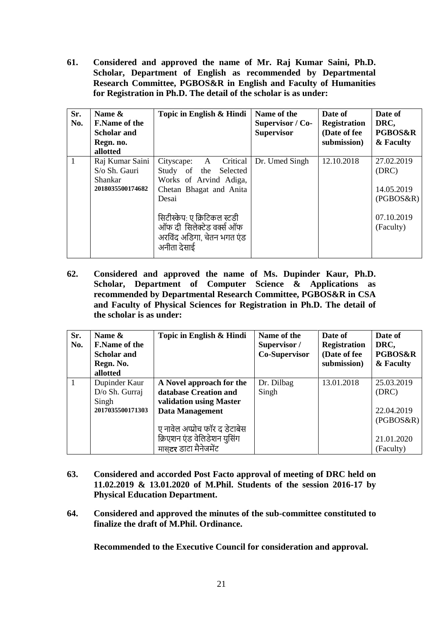**61. Considered and approved the name of Mr. Raj Kumar Saini, Ph.D. Scholar, Department of English as recommended by Departmental Research Committee, PGBOS&R in English and Faculty of Humanities for Registration in Ph.D. The detail of the scholar is as under:**

| Sr.<br>No.   | Name &<br><b>F.Name of the</b><br><b>Scholar and</b><br>Regn. no.<br>allotted | Topic in English & Hindi                                                                                                                                                                                                                  | Name of the<br>Supervisor / Co-<br><b>Supervisor</b> | Date of<br><b>Registration</b><br>(Date of fee<br>submission) | Date of<br>DRC,<br><b>PGBOS&amp;R</b><br>& Faculty                        |
|--------------|-------------------------------------------------------------------------------|-------------------------------------------------------------------------------------------------------------------------------------------------------------------------------------------------------------------------------------------|------------------------------------------------------|---------------------------------------------------------------|---------------------------------------------------------------------------|
| $\mathbf{1}$ | Raj Kumar Saini<br>S/o Sh. Gauri<br>Shankar<br>2018035500174682               | Critical<br>Cityscape:<br>$\mathbf{A}$<br>Study of the<br>Selected<br>Works of Arvind Adiga,<br>Chetan Bhagat and Anita<br>Desai<br>सिटीस्केप: ए क्रिटिकल स्टडी<br>ऑफ दी सिलेक्टेड वर्क्स ऑफ<br>अरविंद अडिगा, चेतन भगत एंड<br>अनीता देसाई | Dr. Umed Singh                                       | 12.10.2018                                                    | 27.02.2019<br>(DRC)<br>14.05.2019<br>(PGBOS&R)<br>07.10.2019<br>(Faculty) |

**62. Considered and approved the name of Ms. Dupinder Kaur, Ph.D. Scholar, Department of Computer Science & Applications as recommended by Departmental Research Committee, PGBOS&R in CSA and Faculty of Physical Sciences for Registration in Ph.D. The detail of the scholar is as under:**

| Sr.<br>No. | Name &<br><b>F.Name of the</b><br><b>Scholar and</b><br>Regn. No.<br>allotted | Topic in English & Hindi                                                                                                                                                                         | Name of the<br>Supervisor /<br>Co-Supervisor | Date of<br><b>Registration</b><br>(Date of fee<br>submission) | Date of<br>DRC,<br><b>PGBOS&amp;R</b><br>& Faculty                        |
|------------|-------------------------------------------------------------------------------|--------------------------------------------------------------------------------------------------------------------------------------------------------------------------------------------------|----------------------------------------------|---------------------------------------------------------------|---------------------------------------------------------------------------|
|            | Dupinder Kaur<br>D/o Sh. Gurraj<br>Singh<br>2017035500171303                  | A Novel approach for the<br>database Creation and<br>validation using Master<br>Data Management<br>ए नावेल अप्प्रोच फॉर द डेटाबेस<br>क्रिएशन एंड वेलिडेशन युसिंग<br>मास <b>टर</b> डाटा मैनेजमेंट | Dr. Dilbag<br>Singh                          | 13.01.2018                                                    | 25.03.2019<br>(DRC)<br>22.04.2019<br>(PGBOS&R)<br>21.01.2020<br>(Faculty) |

- **63. Considered and accorded Post Facto approval of meeting of DRC held on 11.02.2019 & 13.01.2020 of M.Phil. Students of the session 2016-17 by Physical Education Department.**
- **64. Considered and approved the minutes of the sub-committee constituted to finalize the draft of M.Phil. Ordinance.**

**Recommended to the Executive Council for consideration and approval.**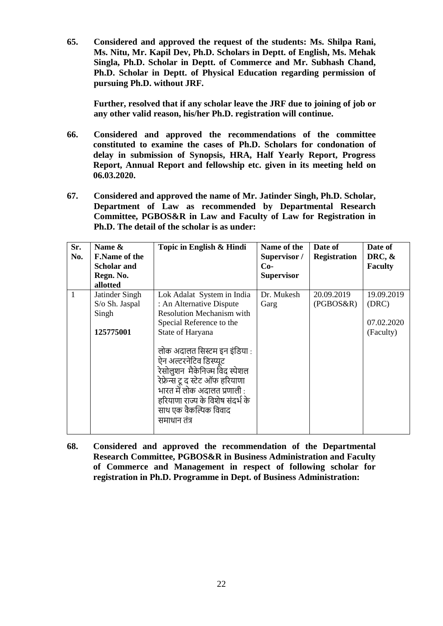**65. Considered and approved the request of the students: Ms. Shilpa Rani, Ms. Nitu, Mr. Kapil Dev, Ph.D. Scholars in Deptt. of English, Ms. Mehak Singla, Ph.D. Scholar in Deptt. of Commerce and Mr. Subhash Chand, Ph.D. Scholar in Deptt. of Physical Education regarding permission of pursuing Ph.D. without JRF.**

**Further, resolved that if any scholar leave the JRF due to joining of job or any other valid reason, his/her Ph.D. registration will continue.**

- **66. Considered and approved the recommendations of the committee constituted to examine the cases of Ph.D. Scholars for condonation of delay in submission of Synopsis, HRA, Half Yearly Report, Progress Report, Annual Report and fellowship etc. given in its meeting held on 06.03.2020.**
- **67. Considered and approved the name of Mr. Jatinder Singh, Ph.D. Scholar, Department of Law as recommended by Departmental Research Committee, PGBOS&R in Law and Faculty of Law for Registration in Ph.D. The detail of the scholar is as under:**

| Sr.<br>No. | Name &<br><b>F.Name of the</b><br><b>Scholar and</b><br>Regn. No.<br>allotted | Topic in English & Hindi                                                                                                                                                                                                                                                                                                                                                                 | Name of the<br>Supervisor /<br>$Co-$<br><b>Supervisor</b> | Date of<br><b>Registration</b> | Date of<br>DRC, $\&$<br><b>Faculty</b>         |
|------------|-------------------------------------------------------------------------------|------------------------------------------------------------------------------------------------------------------------------------------------------------------------------------------------------------------------------------------------------------------------------------------------------------------------------------------------------------------------------------------|-----------------------------------------------------------|--------------------------------|------------------------------------------------|
| 1          | Jatinder Singh<br>S/o Sh. Jaspal<br>Singh<br>125775001                        | Lok Adalat System in India<br>: An Alternative Dispute<br><b>Resolution Mechanism with</b><br>Special Reference to the<br>State of Haryana<br>लोक अदालत सिस्टम इन इंडिया :<br>ऐन अल्टरनेटिव डिस्प्यूट<br>रेसोलुशन  मैकेनिज्म विंद स्पेशल<br>रेफ्रेन्स टू द स्टेट ऑफ हरियाणा<br>भारत में लोक अदालत प्रणाली :<br>हरियाणा राज्य के विशेष संदर्भ के<br>साथ एक वैकल्पिक विवाद<br>समाधान तंत्र | Dr. Mukesh<br>Garg                                        | 20.09.2019<br>(PGBOS&R)        | 19.09.2019<br>(DRC)<br>07.02.2020<br>(Faculty) |

**68. Considered and approved the recommendation of the Departmental Research Committee, PGBOS&R in Business Administration and Faculty of Commerce and Management in respect of following scholar for registration in Ph.D. Programme in Dept. of Business Administration:**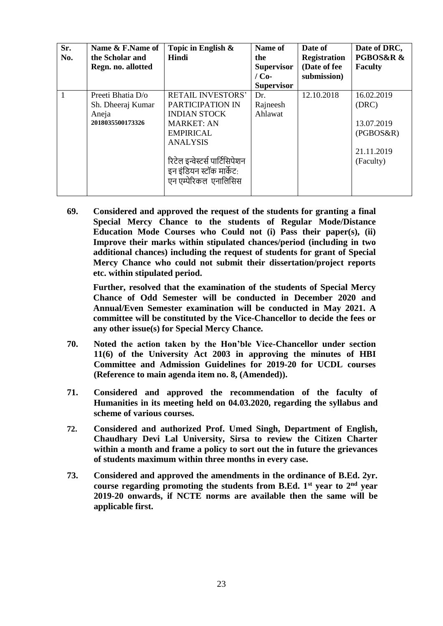| Sr.<br>No. | Name & F.Name of<br>the Scholar and<br>Regn. no. allotted           | Topic in English &<br><b>Hindi</b>                                                                                                                                                                                     | Name of<br>the<br><b>Supervisor</b><br>$/$ Co-<br><b>Supervisor</b> | Date of<br><b>Registration</b><br>(Date of fee<br>submission) | Date of DRC,<br>PGBOS&R &<br><b>Faculty</b>                               |
|------------|---------------------------------------------------------------------|------------------------------------------------------------------------------------------------------------------------------------------------------------------------------------------------------------------------|---------------------------------------------------------------------|---------------------------------------------------------------|---------------------------------------------------------------------------|
| 1          | Preeti Bhatia D/o<br>Sh. Dheeraj Kumar<br>Aneja<br>2018035500173326 | <b>RETAIL INVESTORS'</b><br>PARTICIPATION IN<br><b>INDIAN STOCK</b><br><b>MARKET: AN</b><br><b>EMPIRICAL</b><br><b>ANALYSIS</b><br>रिटेल इन्वेस्टर्स पार्टिसिपेशन<br>इन इंडियन स्टॉक मार्केट:<br>एन एम्पेरिकल एनालिसिस | Dr.<br>Rajneesh<br>Ahlawat                                          | 12.10.2018                                                    | 16.02.2019<br>(DRC)<br>13.07.2019<br>(PGBOS&R)<br>21.11.2019<br>(Faculty) |

**69. Considered and approved the request of the students for granting a final Special Mercy Chance to the students of Regular Mode/Distance Education Mode Courses who Could not (i) Pass their paper(s), (ii) Improve their marks within stipulated chances/period (including in two additional chances) including the request of students for grant of Special Mercy Chance who could not submit their dissertation/project reports etc. within stipulated period.**

**Further, resolved that the examination of the students of Special Mercy Chance of Odd Semester will be conducted in December 2020 and Annual/Even Semester examination will be conducted in May 2021. A committee will be constituted by the Vice-Chancellor to decide the fees or any other issue(s) for Special Mercy Chance.**

- **70. Noted the action taken by the Hon'ble Vice-Chancellor under section 11(6) of the University Act 2003 in approving the minutes of HBI Committee and Admission Guidelines for 2019-20 for UCDL courses (Reference to main agenda item no. 8, (Amended)).**
- **71. Considered and approved the recommendation of the faculty of Humanities in its meeting held on 04.03.2020, regarding the syllabus and scheme of various courses.**
- **72. Considered and authorized Prof. Umed Singh, Department of English, Chaudhary Devi Lal University, Sirsa to review the Citizen Charter within a month and frame a policy to sort out the in future the grievances of students maximum within three months in every case.**
- **73. Considered and approved the amendments in the ordinance of B.Ed. 2yr. course regarding promoting the students from B.Ed. 1st year to 2nd year 2019-20 onwards, if NCTE norms are available then the same will be applicable first.**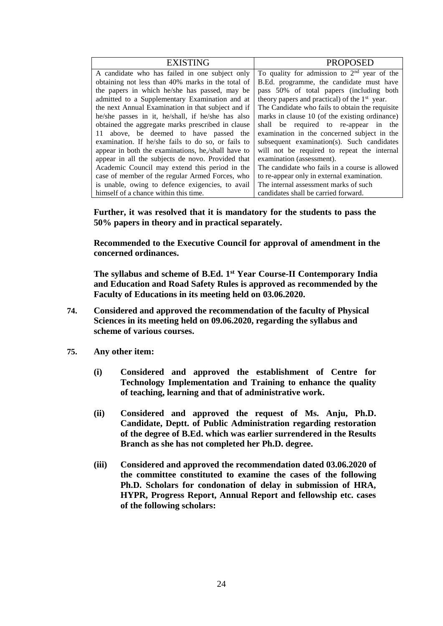| <b>EXISTING</b>                                    | <b>PROPOSED</b>                                           |
|----------------------------------------------------|-----------------------------------------------------------|
| A candidate who has failed in one subject only     | To quality for admission to $2nd$ year of the             |
| obtaining not less than 40% marks in the total of  | B.Ed. programme, the candidate must have                  |
| the papers in which he/she has passed, may be      | pass 50% of total papers (including both                  |
| admitted to a Supplementary Examination and at     | theory papers and practical) of the 1 <sup>st</sup> year. |
| the next Annual Examination in that subject and if | The Candidate who fails to obtain the requisite           |
| he/she passes in it, he/shall, if he/she has also  | marks in clause 10 (of the existing ordinance)            |
| obtained the aggregate marks prescribed in clause  | shall be required to re-appear in the                     |
| 11 above, be deemed to have passed the             | examination in the concerned subject in the               |
| examination. If he/she fails to do so, or fails to | subsequent examination(s). Such candidates                |
| appear in both the examinations, he,/shall have to | will not be required to repeat the internal               |
| appear in all the subjects de novo. Provided that  | examination (assessment).                                 |
| Academic Council may extend this period in the     | The candidate who fails in a course is allowed            |
| case of member of the regular Armed Forces, who    | to re-appear only in external examination.                |
| is unable, owing to defence exigencies, to avail   | The internal assessment marks of such                     |
| himself of a chance within this time.              | candidates shall be carried forward.                      |

**Further, it was resolved that it is mandatory for the students to pass the 50% papers in theory and in practical separately.** 

**Recommended to the Executive Council for approval of amendment in the concerned ordinances.** 

**The syllabus and scheme of B.Ed. 1st Year Course-II Contemporary India and Education and Road Safety Rules is approved as recommended by the Faculty of Educations in its meeting held on 03.06.2020.** 

- **74. Considered and approved the recommendation of the faculty of Physical Sciences in its meeting held on 09.06.2020, regarding the syllabus and scheme of various courses.**
- **75. Any other item:**
	- **(i) Considered and approved the establishment of Centre for Technology Implementation and Training to enhance the quality of teaching, learning and that of administrative work.**
	- **(ii) Considered and approved the request of Ms. Anju, Ph.D. Candidate, Deptt. of Public Administration regarding restoration of the degree of B.Ed. which was earlier surrendered in the Results Branch as she has not completed her Ph.D. degree.**
	- **(iii) Considered and approved the recommendation dated 03.06.2020 of the committee constituted to examine the cases of the following Ph.D. Scholars for condonation of delay in submission of HRA, HYPR, Progress Report, Annual Report and fellowship etc. cases of the following scholars:**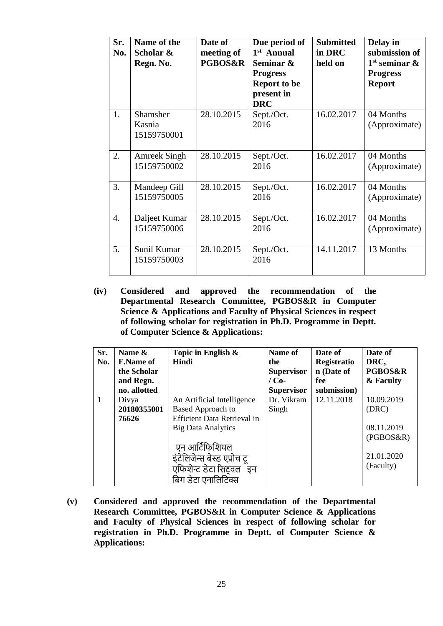| Sr.<br>No.       | Name of the<br>Scholar &<br>Regn. No. | Date of<br>meeting of<br><b>PGBOS&amp;R</b> | Due period of<br>1 <sup>st</sup> Annual<br>Seminar &<br><b>Progress</b><br><b>Report to be</b><br>present in<br><b>DRC</b> | <b>Submitted</b><br>in DRC<br>held on | Delay in<br>submission of<br>$1st$ seminar $\&$<br><b>Progress</b><br><b>Report</b> |
|------------------|---------------------------------------|---------------------------------------------|----------------------------------------------------------------------------------------------------------------------------|---------------------------------------|-------------------------------------------------------------------------------------|
| 1.               | Shamsher<br>Kasnia<br>15159750001     | 28.10.2015                                  | Sept./Oct.<br>2016                                                                                                         | 16.02.2017                            | 04 Months<br>(Approximate)                                                          |
| 2.               | <b>Amreek Singh</b><br>15159750002    | 28.10.2015                                  | Sept./Oct.<br>2016                                                                                                         | 16.02.2017                            | 04 Months<br>(Approximate)                                                          |
| 3.               | Mandeep Gill<br>15159750005           | 28.10.2015                                  | Sept./Oct.<br>2016                                                                                                         | 16.02.2017                            | 04 Months<br>(Approximate)                                                          |
| $\overline{4}$ . | Daljeet Kumar<br>15159750006          | 28.10.2015                                  | Sept./Oct.<br>2016                                                                                                         | 16.02.2017                            | 04 Months<br>(Approximate)                                                          |
| 5.               | Sunil Kumar<br>15159750003            | 28.10.2015                                  | Sept./Oct.<br>2016                                                                                                         | 14.11.2017                            | 13 Months                                                                           |

**(iv) Considered and approved the recommendation of the Departmental Research Committee, PGBOS&R in Computer Science & Applications and Faculty of Physical Sciences in respect of following scholar for registration in Ph.D. Programme in Deptt. of Computer Science & Applications:**

| Sr.<br>No. | Name &<br><b>F.Name of</b><br>the Scholar<br>and Regn.<br>no. allotted | Topic in English &<br>Hindi                                                                                                                                                                                                   | Name of<br>the<br><b>Supervisor</b><br>$/$ Co-<br><b>Supervisor</b> | Date of<br>Registratio<br>n (Date of<br>fee<br>submission) | Date of<br>DRC,<br><b>PGBOS&amp;R</b><br>& Faculty                        |
|------------|------------------------------------------------------------------------|-------------------------------------------------------------------------------------------------------------------------------------------------------------------------------------------------------------------------------|---------------------------------------------------------------------|------------------------------------------------------------|---------------------------------------------------------------------------|
|            | Divya<br>20180355001<br>76626                                          | An Artificial Intelligence<br><b>Based Approach to</b><br><b>Efficient Data Retrieval in</b><br><b>Big Data Analytics</b><br>एन आर्टिफिशियल<br>इंटेलिजेन्स बेस्ड एप्रोच ट्र<br>एफिशेन्ट डेटा रिह्वल इन<br>बिग डेटा एनालिटिक्स | Dr. Vikram<br>Singh                                                 | 12.11.2018                                                 | 10.09.2019<br>(DRC)<br>08.11.2019<br>(PGBOS&R)<br>21.01.2020<br>(Faculty) |

**(v) Considered and approved the recommendation of the Departmental Research Committee, PGBOS&R in Computer Science & Applications and Faculty of Physical Sciences in respect of following scholar for registration in Ph.D. Programme in Deptt. of Computer Science & Applications:**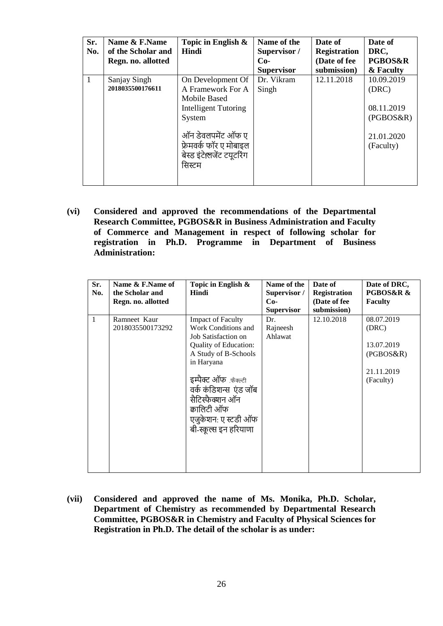| Sr.<br>No. | Name & F.Name<br>of the Scholar and<br>Regn. no. allotted | Topic in English $\&$<br>Hindi                                                                                                                                                        | Name of the<br>Supervisor /<br>$Co-$<br><b>Supervisor</b> | Date of<br><b>Registration</b><br>(Date of fee<br>submission) | Date of<br>DRC,<br><b>PGBOS&amp;R</b><br>& Faculty                        |
|------------|-----------------------------------------------------------|---------------------------------------------------------------------------------------------------------------------------------------------------------------------------------------|-----------------------------------------------------------|---------------------------------------------------------------|---------------------------------------------------------------------------|
| 1          | Sanjay Singh<br>2018035500176611                          | On Development Of<br>A Framework For A<br>Mobile Based<br><b>Intelligent Tutoring</b><br>System<br>ऑन डेवलपमेंट ऑफ ए<br>फ्रेमवर्क फॉर ए मोबाइल<br>बेस्ड इंटेलिजेंट टयूटरिंग<br>सिस्टम | Dr. Vikram<br>Singh                                       | 12.11.2018                                                    | 10.09.2019<br>(DRC)<br>08.11.2019<br>(PGBOS&R)<br>21.01.2020<br>(Faculty) |

**(vi) Considered and approved the recommendations of the Departmental Research Committee, PGBOS&R in Business Administration and Faculty of Commerce and Management in respect of following scholar for registration in Ph.D. Programme in Department of Business Administration:**

| Sr.<br>No. | Name & F.Name of<br>the Scholar and<br>Regn. no. allotted | Topic in English &<br>Hindi                                                                                                                                                                                                                                               | Name of the<br>Supervisor /<br>$Co-$<br><b>Supervisor</b> | Date of<br><b>Registration</b><br>(Date of fee<br>submission) | Date of DRC,<br><b>PGBOS&amp;R &amp;</b><br><b>Faculty</b>                |
|------------|-----------------------------------------------------------|---------------------------------------------------------------------------------------------------------------------------------------------------------------------------------------------------------------------------------------------------------------------------|-----------------------------------------------------------|---------------------------------------------------------------|---------------------------------------------------------------------------|
| 1          | Ramneet Kaur<br>2018035500173292                          | <b>Impact of Faculty</b><br>Work Conditions and<br>Job Satisfaction on<br>Quality of Education:<br>A Study of B-Schools<br>in Haryana<br>इम्पैक्ट ऑफ फ़ैक्ल्टी<br>वर्क कंडिशन्स एंड जॉब<br>सैटिस्फैक्शन ऑन<br>क्रालिटी ऑफ<br>एजुकेशन: ए स्टडी ऑफ<br>बी-स्कूल्स इन हरियाणा | Dr.<br>Rajneesh<br>Ahlawat                                | 12.10.2018                                                    | 08.07.2019<br>(DRC)<br>13.07.2019<br>(PGBOS&R)<br>21.11.2019<br>(Faculty) |

**(vii) Considered and approved the name of Ms. Monika, Ph.D. Scholar, Department of Chemistry as recommended by Departmental Research Committee, PGBOS&R in Chemistry and Faculty of Physical Sciences for Registration in Ph.D. The detail of the scholar is as under:**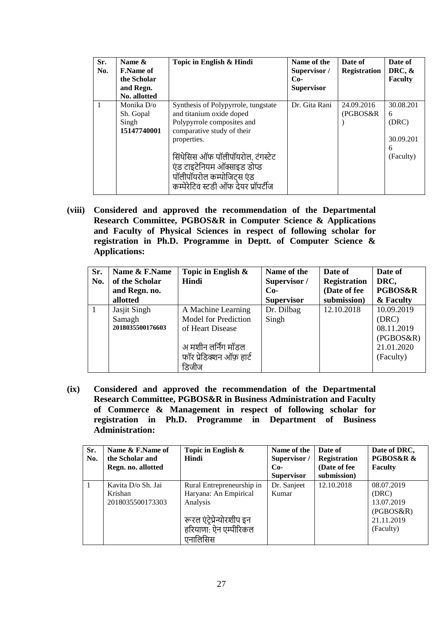| Sr.<br>No. | Name $\&$<br><b>F.Name of</b><br>the Scholar<br>and Regn.<br>No. allotted | Topic in English & Hindi                                                                                                                                                                                                                                                          | Name of the<br>Supervisor /<br>$Co-$<br><b>Supervisor</b> | Date of<br><b>Registration</b> | Date of<br>DRC, $\&$<br><b>Faculty</b>                 |
|------------|---------------------------------------------------------------------------|-----------------------------------------------------------------------------------------------------------------------------------------------------------------------------------------------------------------------------------------------------------------------------------|-----------------------------------------------------------|--------------------------------|--------------------------------------------------------|
|            | Monika D/o<br>Sh. Gopal<br>Singh<br>15147740001                           | Synthesis of Polypyrrole, tungstate<br>and titanium oxide doped<br>Polypyrrole composites and<br>comparative study of their<br>properties.<br>सिंथेसिस ऑफ पॉलीपॉयरोल, टंगस्टेट<br>एंड टाइटेनियम ऑक्साइड डोप्ड<br>पॉलीपॉयरोल कम्पोजिट्स एंड<br>कम्पेरेटिव स्टडी ऑफ देयर प्रॉपर्टीज | Dr. Gita Rani                                             | 24.09.2016<br>(PGBOS&R)        | 30.08.201<br>6<br>(DRC)<br>30.09.201<br>6<br>(Faculty) |

**(viii) Considered and approved the recommendation of the Departmental Research Committee, PGBOS&R in Computer Science & Applications and Faculty of Physical Sciences in respect of following scholar for registration in Ph.D. Programme in Deptt. of Computer Science & Applications:**

| Sr. | Name & F.Name    | Topic in English &       | Name of the       | Date of             | Date of            |
|-----|------------------|--------------------------|-------------------|---------------------|--------------------|
| No. | of the Scholar   | Hindi                    | Supervisor /      | <b>Registration</b> | DRC,               |
|     | and Regn. no.    |                          | $Co-$             | (Date of fee        | <b>PGBOS&amp;R</b> |
|     | allotted         |                          | <b>Supervisor</b> | submission)         | & Faculty          |
|     | Jasjit Singh     | A Machine Learning       | Dr. Dilbag        | 12.10.2018          | 10.09.2019         |
|     | Samagh           | Model for Prediction     | Singh             |                     | (DRC)              |
|     | 2018035500176603 | of Heart Disease         |                   |                     | 08.11.2019         |
|     |                  |                          |                   |                     | (PGBOS&R)          |
|     |                  | अ मशीन लर्निंग मॉडल      |                   |                     | 21.01.2020         |
|     |                  | फॉर प्रेडिक्शन ऑफ़ हार्ट |                   |                     | (Faculty)          |
|     |                  | डिजीज                    |                   |                     |                    |

**(ix) Considered and approved the recommendation of the Departmental Research Committee, PGBOS&R in Business Administration and Faculty of Commerce & Management in respect of following scholar for registration in Ph.D. Programme in Department of Business Administration:**

| Sr.<br>No. | Name & F.Name of<br>the Scholar and<br>Regn. no. allotted | Topic in English $\&$<br>Hindi                                                                                                            | Name of the<br>Supervisor /<br>$Co-$<br><b>Supervisor</b> | Date of<br><b>Registration</b><br>(Date of fee)<br>submission) | Date of DRC,<br>PGBOS&R &<br><b>Faculty</b>                               |
|------------|-----------------------------------------------------------|-------------------------------------------------------------------------------------------------------------------------------------------|-----------------------------------------------------------|----------------------------------------------------------------|---------------------------------------------------------------------------|
|            | Kavita D/o Sh. Jai<br>Krishan<br>2018035500173303         | Rural Entrepreneurship in<br>Haryana: An Empirical<br>Analysis<br>रूरल एंट्रेप्रेन्योरशीप इन<br>हरियाणा: ऐन एम्पीरिकल<br><i>्</i> नालिसिस | Dr. Sanjeet<br>Kumar                                      | 12.10.2018                                                     | 08.07.2019<br>(DRC)<br>13.07.2019<br>(PGBOS&R)<br>21.11.2019<br>(Faculty) |